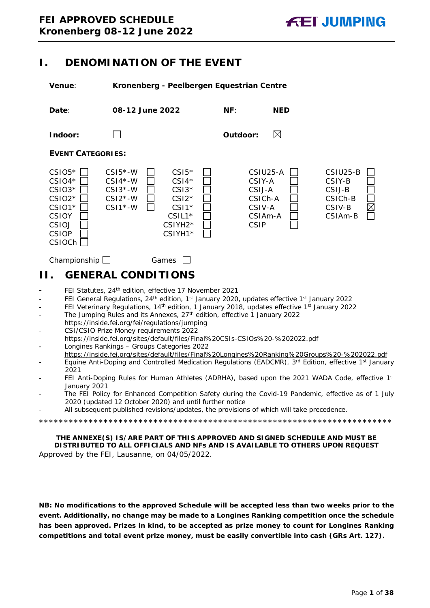# <span id="page-0-0"></span>**I. DENOMINATION OF THE EVENT**

**Venue**: **Kronenberg - Peelbergen Equestrian Centre**



# <span id="page-0-1"></span>**II. GENERAL CONDITIONS**

- FEI Statutes, 24<sup>th</sup> edition, effective 17 November 2021
- FEI General Regulations, 24<sup>th</sup> edition, 1<sup>st</sup> January 2020, updates effective 1<sup>st</sup> January 2022
- FEI Veterinary Regulations, 14<sup>th</sup> edition, 1 January 2018, updates effective 1<sup>st</sup> January 2022
- The Jumping Rules and its Annexes, 27<sup>th</sup> edition, effective 1 January 2022 https://inside.fei.org/fei/regulations/jumping
- CSI/CSIO Prize Money requirements 2022 https://inside.fei.org/sites/default/files/Final%20CSIs-CSIOs%20-%202022.pdf - Longines Rankings – Groups Categories 2022
- https://inside.fei.org/sites/default/files/Final%20Longines%20Ranking%20Groups%20-%202022.pdf
- Equine Anti-Doping and Controlled Medication Regulations (EADCMR), 3<sup>rd</sup> Edition, effective 1<sup>st</sup> January 2021
- FEI Anti-Doping Rules for Human Athletes (ADRHA), based upon the 2021 WADA Code, effective 1st January 2021
- The FEI Policy for Enhanced Competition Safety during the Covid-19 Pandemic, effective as of 1 July 2020 (updated 12 October 2020) and until further notice
- All subsequent published revisions/updates, the provisions of which will take precedence.

\*\*\*\*\*\*\*\*\*\*\*\*\*\*\*\*\*\*\*\*\*\*\*\*\*\*\*\*\*\*\*\*\*\*\*\*\*\*\*\*\*\*\*\*\*\*\*\*\*\*\*\*\*\*\*\*\*\*\*\*\*\*\*\*\*\*\*\*\*\*\*

**THE ANNEXE(S) IS/ARE PART OF THIS APPROVED AND SIGNED SCHEDULE AND MUST BE DISTRIBUTED TO ALL OFFICIALS AND NFs AND IS AVAILABLE TO OTHERS UPON REQUEST** Approved by the FEI, Lausanne, on 04/05/2022.

**NB: No modifications to the approved Schedule will be accepted less than two weeks prior to the event. Additionally, no change may be made to a Longines Ranking competition once the schedule has been approved. Prizes in kind, to be accepted as prize money to count for Longines Ranking competitions and total event prize money, must be easily convertible into cash (GRs Art. 127).**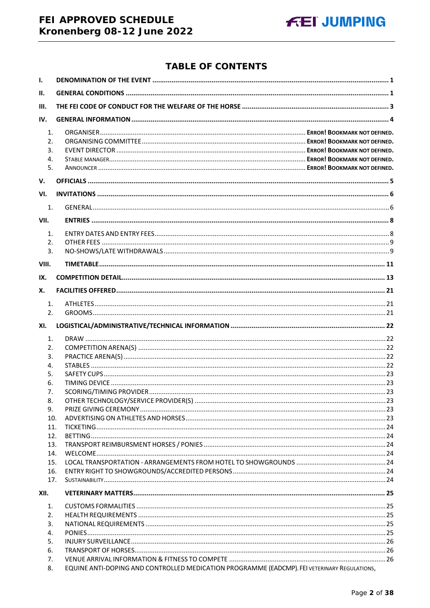# FEI APPROVED SCHEDULE Kronenberg 08-12 June 2022

## **TABLE OF CONTENTS**

| $\mathbf{I}$ .             |                                                                                              |  |
|----------------------------|----------------------------------------------------------------------------------------------|--|
| II.                        |                                                                                              |  |
| III.                       |                                                                                              |  |
| IV.                        |                                                                                              |  |
| 1.<br>2.<br>3.<br>4.<br>5. |                                                                                              |  |
| V.                         |                                                                                              |  |
| VI.                        |                                                                                              |  |
|                            |                                                                                              |  |
| 1.                         |                                                                                              |  |
| VII.                       |                                                                                              |  |
| 1.                         |                                                                                              |  |
| 2.<br>3.                   |                                                                                              |  |
| VIII.                      |                                                                                              |  |
|                            |                                                                                              |  |
| IX.                        |                                                                                              |  |
| Х.                         |                                                                                              |  |
| 1.<br>2.                   |                                                                                              |  |
|                            |                                                                                              |  |
| XI.                        |                                                                                              |  |
| 1.                         |                                                                                              |  |
| 2.                         |                                                                                              |  |
| 3.<br>4.                   |                                                                                              |  |
| 5.                         |                                                                                              |  |
| 6.                         |                                                                                              |  |
| 7.                         |                                                                                              |  |
| 8.                         |                                                                                              |  |
| 9.                         |                                                                                              |  |
| 10.                        |                                                                                              |  |
| 11.                        |                                                                                              |  |
| 12.<br>13.                 |                                                                                              |  |
| 14.                        |                                                                                              |  |
| 15.                        |                                                                                              |  |
| 16.                        |                                                                                              |  |
| 17.                        |                                                                                              |  |
| XII.                       |                                                                                              |  |
| 1.                         |                                                                                              |  |
| 2.                         |                                                                                              |  |
| 3.                         |                                                                                              |  |
| 4.                         |                                                                                              |  |
| 5.                         |                                                                                              |  |
| 6.<br>7.                   |                                                                                              |  |
| 8.                         | EQUINE ANTI-DOPING AND CONTROLLED MEDICATION PROGRAMME (EADCMP). FEI VETERINARY REGULATIONS, |  |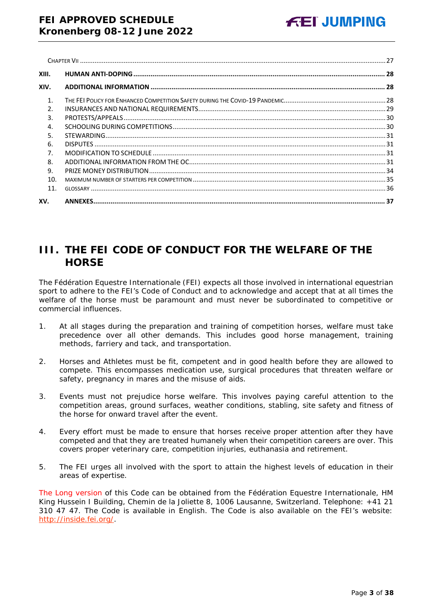| XIII.          |  |
|----------------|--|
| XIV.           |  |
| $\mathbf{1}$ . |  |
| $\mathcal{P}$  |  |
| 3.             |  |
| $\overline{4}$ |  |
| 5.             |  |
| 6.             |  |
| 7.             |  |
| 8.             |  |
| 9.             |  |
| 10.            |  |
| 11.            |  |
| XV.            |  |

# <span id="page-2-0"></span>**III. THE FEI CODE OF CONDUCT FOR THE WELFARE OF THE HORSE**

The Fédération Equestre Internationale (FEI) expects all those involved in international equestrian sport to adhere to the FEI's Code of Conduct and to acknowledge and accept that at all times the welfare of the horse must be paramount and must never be subordinated to competitive or commercial influences.

- 1. At all stages during the preparation and training of competition horses, welfare must take precedence over all other demands. This includes good horse management, training methods, farriery and tack, and transportation.
- 2. Horses and Athletes must be fit, competent and in good health before they are allowed to compete. This encompasses medication use, surgical procedures that threaten welfare or safety, pregnancy in mares and the misuse of aids.
- 3. Events must not prejudice horse welfare. This involves paying careful attention to the competition areas, ground surfaces, weather conditions, stabling, site safety and fitness of the horse for onward travel after the event.
- 4. Every effort must be made to ensure that horses receive proper attention after they have competed and that they are treated humanely when their competition careers are over. This covers proper veterinary care, competition injuries, euthanasia and retirement.
- 5. The FEI urges all involved with the sport to attain the highest levels of education in their areas of expertise.

The Long version of this Code can be obtained from the Fédération Equestre Internationale, HM King Hussein I Building, Chemin de la Joliette 8, 1006 Lausanne, Switzerland. Telephone: +41 21 310 47 47. The Code is available in English. The Code is also available on the FEI's website: [http://inside.fei.org/.](http://inside.fei.org/)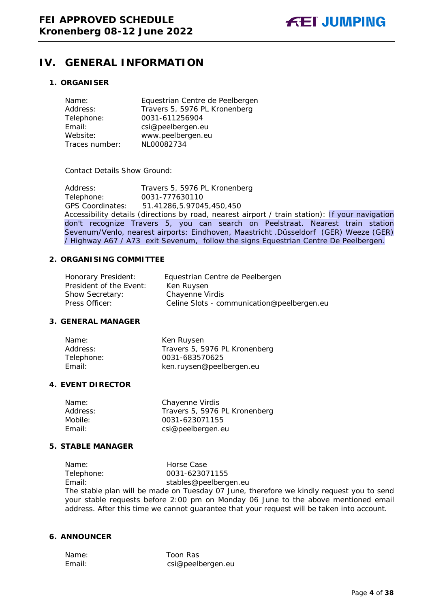# <span id="page-3-0"></span>**IV. GENERAL INFORMATION**

## **1. ORGANISER**

| Name:          | Equestrian Centre de Peelbergen |
|----------------|---------------------------------|
| Address:       | Travers 5, 5976 PL Kronenberg   |
| Telephone:     | 0031-611256904                  |
| Email:         | csi@peelbergen.eu               |
| Website:       | www.peelbergen.eu               |
| Traces number: | NL00082734                      |

#### Contact Details Show Ground:

Address: Travers 5, 5976 PL Kronenberg<br>Telephone: 0031-777630110 Telephone: 0031-777630110 GPS Coordinates: 51.41286,5.97045,450,450 Accessibility details (directions by road, nearest airport / train station): If your navigation don't recognize Travers 5, you can search on Peelstraat. Nearest train station Sevenum/Venlo, nearest airports: Eindhoven, Maastricht .Düsseldorf (GER) Weeze (GER) / Highway A67 / A73 exit Sevenum, follow the signs Equestrian Centre De Peelbergen.

#### **2. ORGANISING COMMITTEE**

| Honorary President:     | Equestrian Centre de Peelbergen            |
|-------------------------|--------------------------------------------|
| President of the Event: | Ken Ruysen                                 |
| <b>Show Secretary:</b>  | Chayenne Virdis                            |
| Press Officer:          | Celine Slots - communication@peelbergen.eu |

## **3. GENERAL MANAGER**

| Name:      | Ken Ruysen                    |
|------------|-------------------------------|
| Address:   | Travers 5, 5976 PL Kronenberg |
| Telephone: | 0031-683570625                |
| Email:     | ken.ruysen@peelbergen.eu      |

#### **4. EVENT DIRECTOR**

| Name:    | Chayenne Virdis               |
|----------|-------------------------------|
| Address: | Travers 5, 5976 PL Kronenberg |
| Mobile:  | 0031-623071155                |
| Fmail:   | csi@peelbergen.eu             |
|          |                               |

## **5. STABLE MANAGER**

Name: Horse Case<br>Telephone: 0031-62307 0031-623071155 Email: stables@peelbergen.eu The stable plan will be made on Tuesday 07 June, therefore we kindly request you to send your stable requests before 2:00 pm on Monday 06 June to the above mentioned email address. After this time we cannot guarantee that your request will be taken into account.

## **6. ANNOUNCER**

Name: Toon Ras Email: csi@peelbergen.eu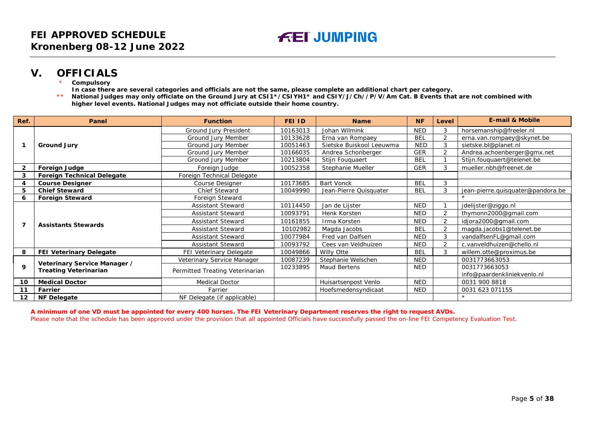## **V. OFFICIALS**

- **Compulsory**
- **In case there are several categories and officials are not the same, please complete an additional chart per category.**
- \*\* **National Judges may only officiate on the Ground Jury at CSI1\*/CSIYH1\* and CSIY/J/Ch//P/V/Am Cat. B Events that are not combined with higher level events. National Judges may not officiate outside their home country.**

| Ref. | Panel                                                        | <b>Function</b>                 | FEI ID   | <b>Name</b>              | <b>NF</b>  | Level          | <b>E-mail &amp; Mobile</b>        |
|------|--------------------------------------------------------------|---------------------------------|----------|--------------------------|------------|----------------|-----------------------------------|
|      |                                                              | Ground Jury President           | 10163013 | Johan Wilmink            | <b>NED</b> | 3              | horsemanship@freeler.nl           |
|      | <b>Ground Jury</b>                                           | Ground Jury Member              | 10133628 | Erna van Rompaey         | <b>BEL</b> | $\overline{2}$ | erna.van.rompaey@skynet.be        |
|      |                                                              | Ground Jury Member              | 10051463 | Sietske Buiskool Leeuwma | <b>NED</b> | 3              | sietske.bl@planet.nl              |
|      |                                                              | Ground Jury Member              | 10166035 | Andrea Schonberger       | <b>GER</b> | C.             | Andrea.achoenberger@gmx.net       |
|      |                                                              | Ground Jury Member              | 10213804 | Stijn Fouquaert          | <b>BEL</b> |                | Stijn.fouquaert@telenet.be        |
| 2    | <b>Foreign Judge</b>                                         | Foreign Judge                   | 10052358 | Stephanie Mueller        | <b>GER</b> | 3              | mueller.nbh@freenet.de            |
| 3    | <b>Foreign Technical Delegate</b>                            | Foreign Technical Delegate      |          |                          |            |                |                                   |
|      | <b>Course Designer</b>                                       | <b>Course Designer</b>          | 10173685 | <b>Bart Vonck</b>        | <b>BEL</b> | 3              |                                   |
| 5    | <b>Chief Steward</b>                                         | Chief Steward                   | 10049990 | Jean-Pierre Quisquater   | <b>BEL</b> | 3              | jean-pierre.quisquater@pandora.be |
| 6    | <b>Foreign Steward</b>                                       | Foreign Steward                 |          |                          |            |                |                                   |
|      | <b>Assistants Stewards</b>                                   | <b>Assistant Steward</b>        | 10114450 | Jan de Lijster           | <b>NED</b> |                | jdelijster@ziggo.nl               |
|      |                                                              | Assistant Steward               | 10093791 | Henk Korsten             | <b>NED</b> | 2              | thymonn2000@gmail.com             |
|      |                                                              | <b>Assistant Steward</b>        | 10161855 | Irma Korsten             | <b>NED</b> | 2              | idjora2000@gmail.com              |
|      |                                                              | <b>Assistant Steward</b>        | 10102982 | Magda Jacobs             | <b>BEL</b> | $\overline{2}$ | magda.jacobs1@telenet.be          |
|      |                                                              | <b>Assistant Steward</b>        | 10077984 | Fred van Dalfsen         | <b>NED</b> | 3              | vandalfsenFL@gmail.com            |
|      |                                                              | <b>Assistant Steward</b>        | 10093792 | Cees van Veldhuizen      | <b>NED</b> | $\overline{2}$ | c.vanveldhuizen@chello.nl         |
| 8    | <b>FEI Veterinary Delegate</b>                               | FEI Veterinary Delegate         | 10049866 | Willy Otte               | <b>BEL</b> | 3              | willem.otte@proximus.be           |
|      |                                                              | Veterinary Service Manager      | 10087239 | Stephanie Welschen       | <b>NED</b> |                | 0031773663053                     |
| 9    | Veterinary Service Manager /<br><b>Treating Veterinarian</b> | Permitted Treating Veterinarian | 10233895 | Maud Bertens             | <b>NED</b> |                | 0031773663053                     |
|      |                                                              |                                 |          |                          |            |                | info@paardenkliniekvenlo.nl       |
| 10   | <b>Medical Doctor</b>                                        | <b>Medical Doctor</b>           |          | Huisartsenpost Venlo     | <b>NED</b> |                | 0031 900 8818                     |
| 11   | Farrier                                                      | Farrier                         |          | Hoefsmedensyndicaat      | <b>NED</b> |                | 0031 623 071155                   |
| 12   | <b>NF Delegate</b>                                           | NF Delegate (if applicable)     |          |                          |            |                |                                   |

<span id="page-4-0"></span>**A minimum of one VD must be appointed for every 400 horses. The FEI Veterinary Department reserves the right to request AVDs.** Please note that the schedule has been approved under the provision that all appointed Officials have successfully passed the on-line FEI Competency Evaluation Test.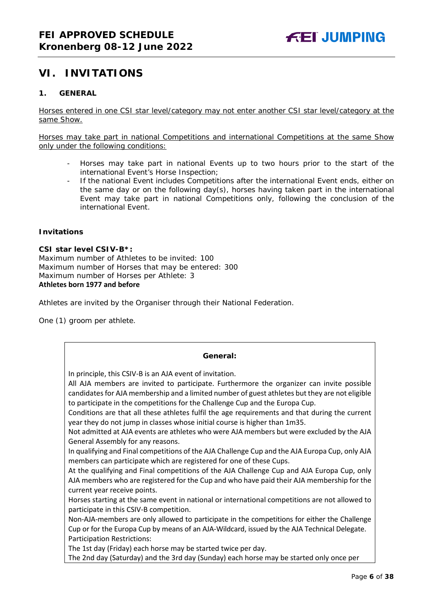# <span id="page-5-0"></span>**VI. INVITATIONS**

## <span id="page-5-1"></span>**1. GENERAL**

Horses entered in one CSI star level/category may not enter another CSI star level/category at the same Show.

Horses may take part in national Competitions and international Competitions at the same Show only under the following conditions:

- Horses may take part in national Events up to two hours prior to the start of the international Event's Horse Inspection;
- If the national Event includes Competitions after the international Event ends, either on the same day or on the following day(s), horses having taken part in the international Event may take part in national Competitions only, following the conclusion of the international Event.

#### **Invitations**

#### **CSI star level CSIV-B\*:**

Maximum number of Athletes to be invited: 100 Maximum number of Horses that may be entered: 300 Maximum number of Horses per Athlete: 3 **Athletes born 1977 and before**

Athletes are invited by the Organiser through their National Federation.

One (1) groom per athlete.

## **General:** In principle, this CSIV-B is an AJA event of invitation. All AJA members are invited to participate. Furthermore the organizer can invite possible candidates for AJA membership and a limited number of guest athletes but they are not eligible to participate in the competitions for the Challenge Cup and the Europa Cup. Conditions are that all these athletes fulfil the age requirements and that during the current year they do not jump in classes whose initial course is higher than 1m35. Not admitted at AJA events are athletes who were AJA members but were excluded by the AJA General Assembly for any reasons. In qualifying and Final competitions of the AJA Challenge Cup and the AJA Europa Cup, only AJA members can participate which are registered for one of these Cups. At the qualifying and Final competitions of the AJA Challenge Cup and AJA Europa Cup, only AJA members who are registered for the Cup and who have paid their AJA membership for the current year receive points. Horses starting at the same event in national or international competitions are not allowed to participate in this CSIV-B competition. Non-AJA-members are only allowed to participate in the competitions for either the Challenge Cup or for the Europa Cup by means of an AJA-Wildcard, issued by the AJA Technical Delegate. Participation Restrictions: The 1st day (Friday) each horse may be started twice per day. The 2nd day (Saturday) and the 3rd day (Sunday) each horse may be started only once per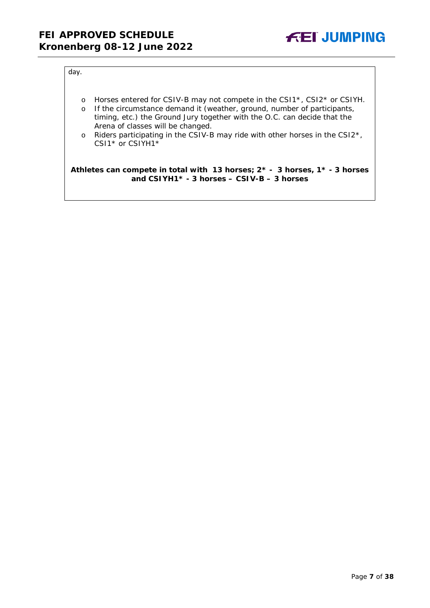

#### day.

- o Horses entered for CSIV-B may not compete in the CSI1\*, CSI2\* or CSIYH.
- o If the circumstance demand it (weather, ground, number of participants, timing, etc.) the Ground Jury together with the O.C. can decide that the Arena of classes will be changed.
- o Riders participating in the CSIV-B may ride with other horses in the CSI2\*, CSI1<sup>\*</sup> or CSIYH1<sup>\*</sup>

#### **Athletes can compete in total with 13 horses; 2\* - 3 horses, 1\* - 3 horses and CSIYH1\* - 3 horses – CSIV-B – 3 horses**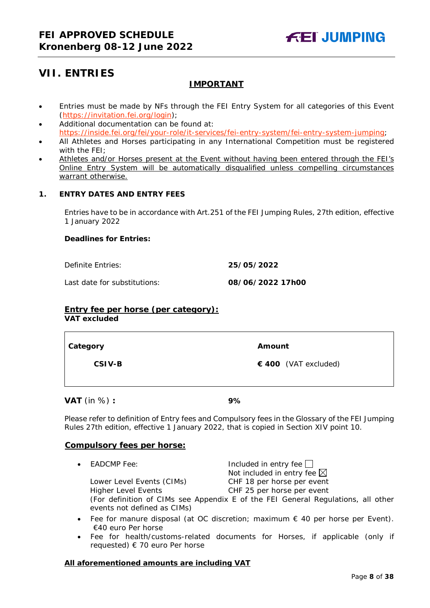# <span id="page-7-0"></span>**VII. ENTRIES**

## **IMPORTANT**

- Entries must be made by NFs through the FEI Entry System for all categories of this Event [\(https://invitation.fei.org/login\)](https://invitation.fei.org/login);
- Additional documentation can be found at: [https://inside.fei.org/fei/your-role/it-services/fei-entry-system/fei-entry-system-jumping;](https://inside.fei.org/fei/your-role/it-services/fei-entry-system/fei-entry-system-jumping)
- All Athletes and Horses participating in any International Competition must be registered with the FEI;
- Athletes and/or Horses present at the Event without having been entered through the FEI's Online Entry System will be automatically disqualified unless compelling circumstances warrant otherwise.

## <span id="page-7-1"></span>**1. ENTRY DATES AND ENTRY FEES**

Entries have to be in accordance with Art.251 of the FEI Jumping Rules, 27th edition, effective 1 January 2022

#### **Deadlines for Entries:**

Definite Entries: **25/05/2022**

Last date for substitutions: **08/06/2022 17h00**

## **Entry fee per horse** *(per category):*

**VAT excluded**

| Category | Amount               |
|----------|----------------------|
| CSIV-B   | € 400 (VAT excluded) |
|          |                      |

**VAT** (in %) **: 9%**

Please refer to definition of Entry fees and Compulsory fees in the Glossary of the FEI Jumping Rules 27th edition, effective 1 January 2022, that is copied in Section XIV point 10.

## **Compulsory fees per horse:**

• EADCMP Fee:  $\Box$  Included in entry fee  $\Box$ Not included in entry fee  $\boxtimes$ Lower Level Events (CIMs) CHF 18 per horse per event Higher Level Events CHF 25 per horse per event

(For definition of CIMs see Appendix E of the FEI General Regulations, all other events not defined as CIMs)

- Fee for manure disposal (at OC discretion; maximum  $\epsilon$  40 per horse per Event). €40 euro Per horse
- Fee for health/customs-related documents for Horses, if applicable (only if requested) € 70 euro Per horse

## **All aforementioned amounts are including VAT**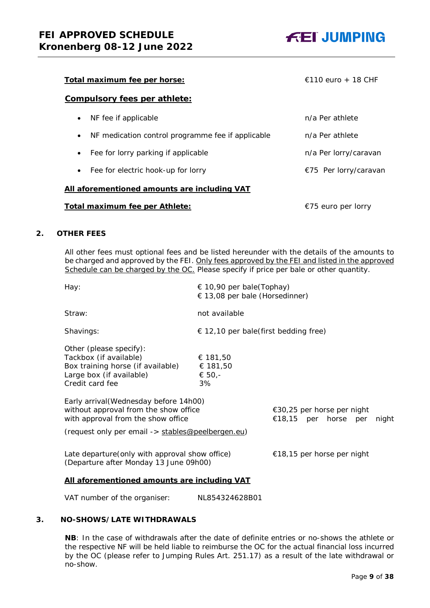

| <u>Total maximum fee per horse:</u>                            | $\in$ 110 euro + 18 CHF |
|----------------------------------------------------------------|-------------------------|
| <b>Compulsory fees per athlete:</b>                            |                         |
| NF fee if applicable<br>$\bullet$                              | n/a Per athlete         |
| NF medication control programme fee if applicable<br>$\bullet$ | n/a Per athlete         |
| Fee for lorry parking if applicable<br>$\bullet$               | n/a Per lorry/caravan   |
| Fee for electric hook-up for lorry<br>$\bullet$                | €75 Per lorry/caravan   |
| All aforementioned amounts are including VAT                   |                         |
| Total maximum fee per Athlete:                                 | €75 euro per lorry      |

#### <span id="page-8-0"></span>**2. OTHER FEES**

All other fees must optional fees and be listed hereunder with the details of the amounts to be charged and approved by the FEI. Only fees approved by the FEI and listed in the approved Schedule can be charged by the OC. *Please specify if price per bale or other quantity.*

| Hay:                                                                                                                                                                                                                                                                                                                | $\in$ 10,90 per bale(Tophay)<br>$\in$ 13,08 per bale (Horsedinner) |                                                    |       |  |  |  |
|---------------------------------------------------------------------------------------------------------------------------------------------------------------------------------------------------------------------------------------------------------------------------------------------------------------------|--------------------------------------------------------------------|----------------------------------------------------|-------|--|--|--|
| Straw:                                                                                                                                                                                                                                                                                                              | not available                                                      |                                                    |       |  |  |  |
| Shavings:                                                                                                                                                                                                                                                                                                           | $\epsilon$ 12,10 per bale(first bedding free)                      |                                                    |       |  |  |  |
| Other (please specify):<br>Tackbox (if available)<br>Box training horse (if available)<br>Large box (if available)<br>Credit card fee<br>Early arrival (Wednesday before 14h00)<br>without approval from the show office<br>with approval from the show office<br>(request only per email -> stables@peelbergen.eu) | € 181,50<br>€ 181,50<br>€ 50,-<br>3%                               | €30,25 per horse per night<br>€18,15 per horse per | night |  |  |  |
| Late departure (only with approval show office)<br>(Departure after Monday 13 June 09h00)                                                                                                                                                                                                                           |                                                                    | €18,15 per horse per night                         |       |  |  |  |
| All aforementioned amounts are including VAT                                                                                                                                                                                                                                                                        |                                                                    |                                                    |       |  |  |  |

VAT number of the organiser: NL854324628B01

## <span id="page-8-1"></span>**3. NO-SHOWS/LATE WITHDRAWALS**

**NB**: In the case of withdrawals after the date of definite entries or no-shows the athlete or the respective NF will be held liable to reimburse the OC for the actual financial loss incurred by the OC (please refer to Jumping Rules Art. 251.17) as a result of the late withdrawal or no-show.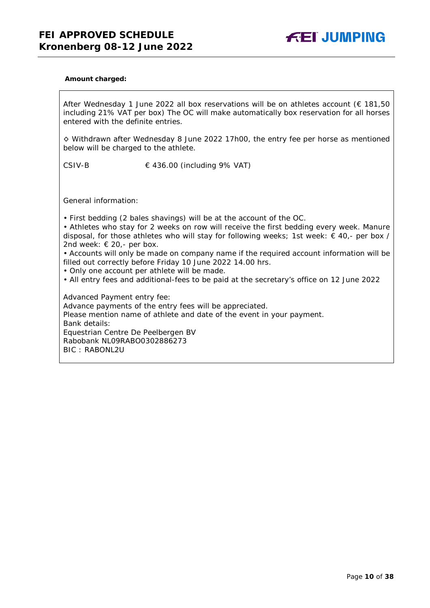

#### **Amount charged:**

After Wednesday 1 June 2022 all box reservations will be on athletes account (€ 181,50 including 21% VAT per box) The OC will make automatically box reservation for all horses entered with the definite entries.

◊ Withdrawn after Wednesday 8 June 2022 17h00, the entry fee per horse as mentioned below will be charged to the athlete.

CSIV-B  $\in$  436.00 (including 9% VAT)

General information:

• First bedding (2 bales shavings) will be at the account of the OC.

• Athletes who stay for 2 weeks on row will receive the first bedding every week. Manure disposal, for those athletes who will stay for following weeks; 1st week: € 40,- per box / 2nd week:  $\in$  20,- per box.

• Accounts will only be made on company name if the required account information will be filled out correctly before Friday 10 June 2022 14.00 hrs.

• Only one account per athlete will be made.

• All entry fees and additional-fees to be paid at the secretary's office on 12 June 2022

Advanced Payment entry fee: Advance payments of the entry fees will be appreciated. Please mention name of athlete and date of the event in your payment. Bank details: Equestrian Centre De Peelbergen BV Rabobank NL09RABO0302886273 BIC : RABONL2U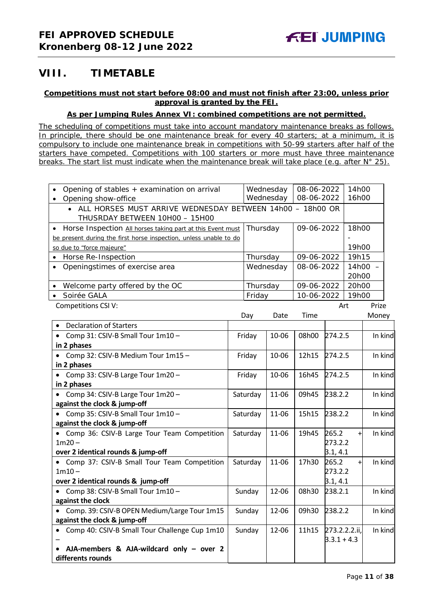# <span id="page-10-0"></span>**VIII. TIMETABLE**

## **Competitions must not start before 08:00 and must not finish after 23:00, unless prior approval is granted by the FEI.**

## **As per Jumping Rules Annex VI: combined competitions are not permitted.**

*The scheduling of competitions must take into account mandatory maintenance breaks as follows. In principle, there should be one maintenance break for every 40 starters; at a minimum, it is compulsory to include one maintenance break in competitions with 50-99 starters after half of the starters have competed. Competitions with 100 starters or more must have three maintenance breaks. The start list must indicate when the maintenance break will take place (e.g. after N° 25).*

| Opening of stables + examination on arrival                                                    |          | Wednesday |            | 08-06-2022               |               | 14h00 |           |
|------------------------------------------------------------------------------------------------|----------|-----------|------------|--------------------------|---------------|-------|-----------|
| Opening show-office                                                                            |          | Wednesday |            | 08-06-2022               |               | 16h00 |           |
| • ALL HORSES MUST ARRIVE WEDNESDAY BETWEEN 14h00 - 18h00 OR                                    |          |           |            |                          |               |       |           |
| THUSRDAY BETWEEN 10H00 - 15H00                                                                 |          |           |            |                          |               |       |           |
| Horse Inspection All horses taking part at this Event must                                     | Thursday |           | 09-06-2022 |                          |               | 18h00 |           |
| be present during the first horse inspection, unless unable to do<br>so due to "force majeure" |          |           |            |                          |               | 19h00 |           |
| Horse Re-Inspection                                                                            |          | Thursday  |            |                          |               | 19h15 |           |
| Openingstimes of exercise area                                                                 |          |           | Wednesday  | 09-06-2022<br>08-06-2022 |               |       | $14h00 -$ |
|                                                                                                |          |           |            |                          |               | 20h00 |           |
| Welcome party offered by the OC                                                                |          | Thursday  |            | 09-06-2022               |               | 20h00 |           |
| Soirée GALA                                                                                    |          | Friday    |            | 10-06-2022               |               | 19h00 |           |
| Competitions CSI V:                                                                            |          |           |            |                          |               | Art   | Prize     |
|                                                                                                |          | Day       | Date       | Time                     |               |       | Money     |
| <b>Declaration of Starters</b>                                                                 |          |           |            |                          |               |       |           |
| Comp 31: CSIV-B Small Tour 1m10 -                                                              |          | Friday    | 10-06      | 08h00                    | 274.2.5       |       | In kind   |
| in 2 phases                                                                                    |          |           |            |                          |               |       |           |
| • Comp 32: CSIV-B Medium Tour 1m15 -                                                           |          | Friday    | 10-06      | 12h15                    | 274.2.5       |       | In kind   |
| in 2 phases                                                                                    |          |           |            |                          |               |       |           |
| Comp 33: CSIV-B Large Tour 1m20 -                                                              |          | Friday    | 10-06      | 16h45                    | 274.2.5       |       | In kind   |
| in 2 phases                                                                                    |          |           |            |                          |               |       |           |
| • Comp 34: CSIV-B Large Tour 1m20 -                                                            |          | Saturday  | 11-06      | 09h45                    | 238.2.2       |       | In kind   |
| against the clock & jump-off                                                                   |          |           |            |                          |               |       |           |
| • Comp 35: CSIV-B Small Tour 1m10 -                                                            |          | Saturday  | 11-06      | 15h15                    | 238.2.2       |       | In kind   |
| against the clock & jump-off<br>• Comp 36: CSIV-B Large Tour Team Competition                  |          |           | 11-06      | 19h45                    | 265.2         |       | In kind   |
| $1m20 -$                                                                                       |          | Saturday  |            |                          | 273.2.2       | $\pm$ |           |
| over 2 identical rounds & jump-off                                                             |          |           |            |                          | 3.1, 4.1      |       |           |
| • Comp 37: CSIV-B Small Tour Team Competition                                                  |          | Saturday  | 11-06      | 17h30                    | 265.2         | $+$   | In kind   |
| $1m10 -$                                                                                       |          |           |            |                          | 273.2.2       |       |           |
| over 2 identical rounds & jump-off                                                             |          |           |            |                          | 3.1, 4.1      |       |           |
| • Comp 38: CSIV-B Small Tour 1m10 -                                                            |          | Sunday    | 12-06      | 08h30                    | 238.2.1       |       | In kind   |
| against the clock                                                                              |          |           |            |                          |               |       |           |
| Comp. 39: CSIV-B OPEN Medium/Large Tour 1m15                                                   |          | Sunday    | 12-06      | 09h30                    | 238.2.2       |       | In kind   |
| against the clock & jump-off                                                                   |          |           |            |                          |               |       |           |
| Comp 40: CSIV-B Small Tour Challenge Cup 1m10                                                  |          | Sunday    | 12-06      | 11h15                    | 273.2.2.2.ii, |       | In kind   |
|                                                                                                |          |           |            |                          | $3.3.1 + 4.3$ |       |           |
| AJA-members & AJA-wildcard only - over 2                                                       |          |           |            |                          |               |       |           |
| differents rounds                                                                              |          |           |            |                          |               |       |           |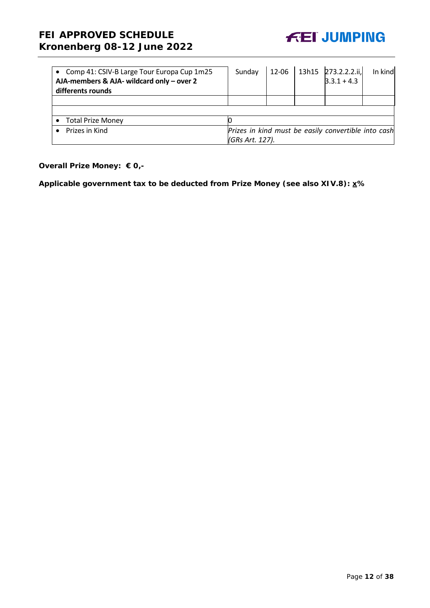

| • Comp 41: CSIV-B Large Tour Europa Cup 1m25<br>AJA-members & AJA- wildcard only - over 2<br>differents rounds | Sunday          | 12-06 | $13h15$ 273.2.2.2.ii,<br>$3.3.1 + 4.3$              | In kind |
|----------------------------------------------------------------------------------------------------------------|-----------------|-------|-----------------------------------------------------|---------|
|                                                                                                                |                 |       |                                                     |         |
|                                                                                                                |                 |       |                                                     |         |
| <b>Total Prize Money</b>                                                                                       |                 |       |                                                     |         |
| Prizes in Kind                                                                                                 |                 |       | Prizes in kind must be easily convertible into cash |         |
|                                                                                                                | (GRs Art. 127). |       |                                                     |         |

## **Overall Prize Money: € 0,-**

**Applicable government tax to be deducted from Prize Money (see also XIV.8): x%**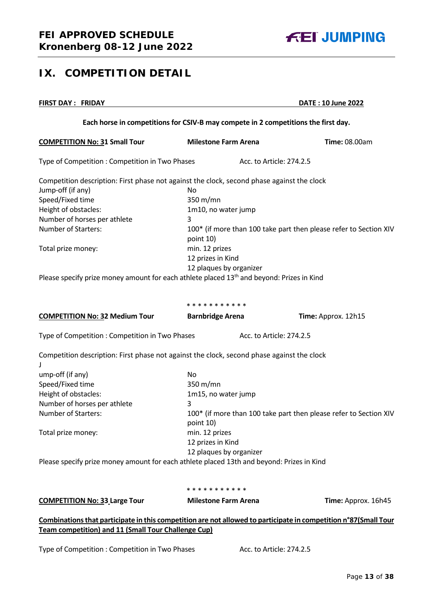<span id="page-12-0"></span>

# **FIRST DAY : FRIDAY DATE : 10 June 2022 Each horse in competitions for CSIV-B may compete in 2 competitions the first day. COMPETITION No: 31 Small Tour Milestone Farm Arena Time:** 08.00am Type of Competition : Competition in Two Phases Acc. to Article: 274.2.5 Competition description: First phase not against the clock, second phase against the clock Jump-off (if any) No Speed/Fixed time 350 m/mn Height of obstacles: 1m10, no water jump Number of horses per athlete 3 Number of Starters: 100<sup>\*</sup> (if more than 100 take part then please refer to Section XIV point 10) Total prize money: min. 12 prizes 12 prizes in Kind 12 plaques by organizer Please specify prize money amount for each athlete placed  $13<sup>th</sup>$  and beyond: Prizes in Kind \* \* \* \* \* \* \* \* \* \* \* **COMPETITION No: 32 Medium Tour Barnbridge Arena Time: Approx. 12h15** Type of Competition : Competition in Two Phases Acc. to Article: 274.2.5 Competition description: First phase not against the clock, second phase against the clock J ump-off (if any) No Speed/Fixed time 350 m/mn Height of obstacles: 1m15, no water jump Number of horses per athlete 3 Number of Starters: 100<sup>\*</sup> (if more than 100 take part then please refer to Section XIV point 10) Total prize money: min. 12 prizes 12 prizes in Kind 12 plaques by organizer Please specify prize money amount for each athlete placed 13th and beyond: Prizes in Kind

\* \* \* \* \* \* \* \* \* \*

**COMPETITION No: 33 Large Tour** Milestone Farm Arena Time: Approx. 16h45

**Combinations that participate in this competition are not allowed to participate in competition n°87(Small Tour Team competition) and 11 (Small Tour Challenge Cup)**

Type of Competition : Competition in Two Phases Acc. to Article: 274.2.5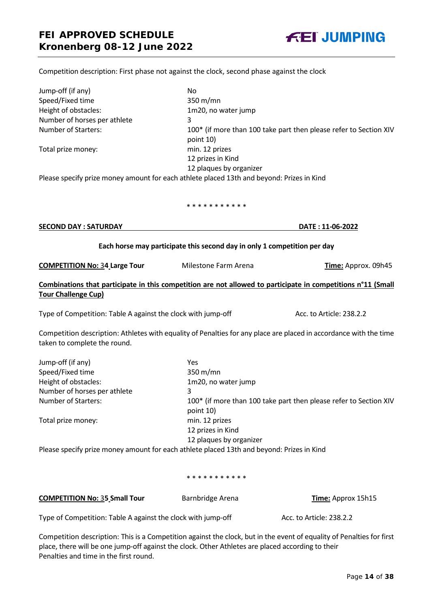

#### Competition description: First phase not against the clock, second phase against the clock

| Jump-off (if any)                                                                         | No                                                                |
|-------------------------------------------------------------------------------------------|-------------------------------------------------------------------|
| Speed/Fixed time                                                                          | $350 \text{ m/min}$                                               |
| Height of obstacles:                                                                      | 1m20, no water jump                                               |
| Number of horses per athlete                                                              | 3                                                                 |
| <b>Number of Starters:</b>                                                                | 100* (if more than 100 take part then please refer to Section XIV |
|                                                                                           | point 10)                                                         |
| Total prize money:                                                                        | min. 12 prizes                                                    |
|                                                                                           | 12 prizes in Kind                                                 |
|                                                                                           | 12 plaques by organizer                                           |
| Please specify prize money amount for each athlete placed 13th and beyond: Prizes in Kind |                                                                   |

\* \* \* \* \* \* \* \* \* \*

| <b>SECOND DAY : SATURDAY</b> | DATE: 11-06-2022 |
|------------------------------|------------------|
|                              |                  |

#### **Each horse may participate this second day in only 1 competition per day**

**COMPETITION No: 34 Large Tour** Milestone Farm Arena **Time:** Approx. 09h45

## **Combinations that participate in this competition are not allowed to participate in competitions n°11 (Small Tour Challenge Cup)**

Type of Competition: Table A against the clock with jump-off Acc. to Article: 238.2.2

Competition description: Athletes with equality of Penalties for any place are placed in accordance with the time taken to complete the round.

| Jump-off (if any)            | Yes                                                                            |
|------------------------------|--------------------------------------------------------------------------------|
| Speed/Fixed time             | 350 m/mn                                                                       |
| Height of obstacles:         | 1m20, no water jump                                                            |
| Number of horses per athlete | 3                                                                              |
| Number of Starters:          | 100* (if more than 100 take part then please refer to Section XIV<br>point 10) |
| Total prize money:           | min. 12 prizes                                                                 |
|                              | 12 prizes in Kind                                                              |
|                              | 12 plaques by organizer                                                        |
|                              |                                                                                |

Please specify prize money amount for each athlete placed 13th and beyond: Prizes in Kind

#### \* \* \* \* \* \* \* \* \* \* \*

**COMPETITION No: 35 Small Tour** Barnbridge Arena **Time:** Approx 15h15

Type of Competition: Table A against the clock with jump-off Acc. to Article: 238.2.2

Competition description: This is a Competition against the clock, but in the event of equality of Penalties for first place, there will be one jump-off against the clock. Other Athletes are placed according to their Penalties and time in the first round.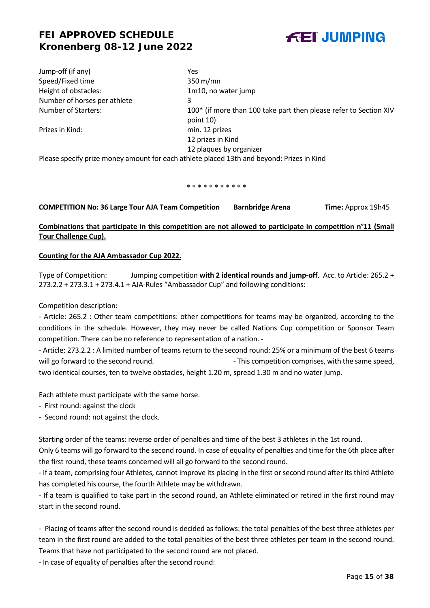Jump-off (if any) Yes Speed/Fixed time 350 m/mn Height of obstacles: 1m10, no water jump Number of horses per athlete 3

Number of Starters: 100<sup>\*</sup> (if more than 100 take part then please refer to Section XIV point 10) Prizes in Kind: min. 12 prizes 12 prizes in Kind 12 plaques by organizer

Please specify prize money amount for each athlete placed 13th and beyond: Prizes in Kind

\* \* \* \* \* \* \* \* \* \* \*

**COMPETITION No: 36 Large Tour AJA Team Competition Barnbridge Arena Time:** Approx 19h45

**Combinations that participate in this competition are not allowed to participate in competition n°11 (Small Tour Challenge Cup).**

#### **Counting for the AJA Ambassador Cup 2022.**

Type of Competition: Jumping competition **with 2 identical rounds and jump-off**. Acc. to Article: 265.2 + 273.2.2 + 273.3.1 + 273.4.1 + AJA-Rules "Ambassador Cup" and following conditions:

Competition description:

- Article: 265.2 : Other team competitions: other competitions for teams may be organized, according to the conditions in the schedule. However, they may never be called Nations Cup competition or Sponsor Team competition. There can be no reference to representation of a nation. -

- Article: 273.2.2 : A limited number of teams return to the second round: 25% or a minimum of the best 6 teams will go forward to the second round.  $\blacksquare$  - This competition comprises, with the same speed, two identical courses, ten to twelve obstacles, height 1.20 m, spread 1.30 m and no water jump.

Each athlete must participate with the same horse.

- First round: against the clock
- Second round: not against the clock.

Starting order of the teams: reverse order of penalties and time of the best 3 athletes in the 1st round.

Only 6 teams will go forward to the second round. In case of equality of penalties and time for the 6th place after the first round, these teams concerned will all go forward to the second round.

- If a team, comprising four Athletes, cannot improve its placing in the first or second round after its third Athlete has completed his course, the fourth Athlete may be withdrawn.

- If a team is qualified to take part in the second round, an Athlete eliminated or retired in the first round may start in the second round.

- Placing of teams after the second round is decided as follows: the total penalties of the best three athletes per team in the first round are added to the total penalties of the best three athletes per team in the second round. Teams that have not participated to the second round are not placed.

- In case of equality of penalties after the second round:

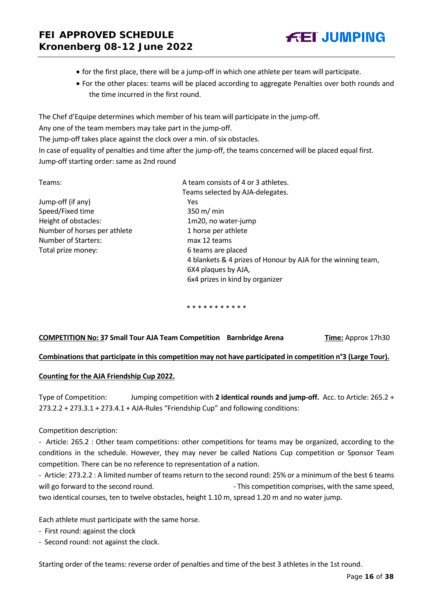- for the first place, there will be a jump-off in which one athlete per team will participate.
- For the other places: teams will be placed according to aggregate Penalties over both rounds and the time incurred in the first round.

The Chef d'Equipe determines which member of his team will participate in the jump-off.

Any one of the team members may take part in the jump-off.

The jump-off takes place against the clock over a min. of six obstacles.

In case of equality of penalties and time after the jump-off, the teams concerned will be placed equal first. Jump-off starting order: same as 2nd round

| A team consists of 4 or 3 athletes.                          |  |
|--------------------------------------------------------------|--|
| Teams selected by AJA-delegates.                             |  |
| Yes                                                          |  |
| $350 \text{ m/m}$                                            |  |
| 1m20, no water-jump                                          |  |
| 1 horse per athlete                                          |  |
| max 12 teams                                                 |  |
| 6 teams are placed                                           |  |
| 4 blankets & 4 prizes of Honour by AJA for the winning team, |  |
| 6X4 plaques by AJA,                                          |  |
| 6x4 prizes in kind by organizer                              |  |
|                                                              |  |

\* \* \* \* \* \* \* \* \* \* \*

## **COMPETITION No: 37 Small Tour AJA Team Competition Barnbridge Arena <b>Time:** Approx 17h30

## **Combinations that participate in this competition may not have participated in competition n°3 (Large Tour).**

## **Counting for the AJA Friendship Cup 2022.**

Type of Competition: Jumping competition with **2 identical rounds and jump-off.** Acc. to Article: 265.2 + 273.2.2 + 273.3.1 + 273.4.1 + AJA-Rules "Friendship Cup" and following conditions:

Competition description:

- Article: 265.2 : Other team competitions: other competitions for teams may be organized, according to the conditions in the schedule. However, they may never be called Nations Cup competition or Sponsor Team competition. There can be no reference to representation of a nation.

- Article: 273.2.2 : A limited number of teams return to the second round: 25% or a minimum of the best 6 teams will go forward to the second round.  $\blacksquare$  - This competition comprises, with the same speed, two identical courses, ten to twelve obstacles, height 1.10 m, spread 1.20 m and no water jump.

Each athlete must participate with the same horse.

- First round: against the clock
- Second round: not against the clock.

Starting order of the teams: reverse order of penalties and time of the best 3 athletes in the 1st round.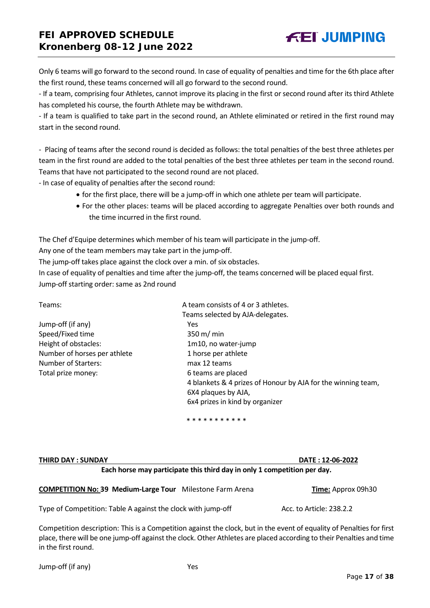Only 6 teams will go forward to the second round. In case of equality of penalties and time for the 6th place after the first round, these teams concerned will all go forward to the second round.

**FEI JUMPING** 

- If a team, comprising four Athletes, cannot improve its placing in the first or second round after its third Athlete has completed his course, the fourth Athlete may be withdrawn.

- If a team is qualified to take part in the second round, an Athlete eliminated or retired in the first round may start in the second round.

- Placing of teams after the second round is decided as follows: the total penalties of the best three athletes per team in the first round are added to the total penalties of the best three athletes per team in the second round. Teams that have not participated to the second round are not placed.

- In case of equality of penalties after the second round:

- for the first place, there will be a jump-off in which one athlete per team will participate.
- For the other places: teams will be placed according to aggregate Penalties over both rounds and the time incurred in the first round.

The Chef d'Equipe determines which member of his team will participate in the jump-off.

Any one of the team members may take part in the jump-off.

The jump-off takes place against the clock over a min. of six obstacles.

In case of equality of penalties and time after the jump-off, the teams concerned will be placed equal first. Jump-off starting order: same as 2nd round

| Teams:                       | A team consists of 4 or 3 athletes.                          |
|------------------------------|--------------------------------------------------------------|
|                              | Teams selected by AJA-delegates.                             |
| Jump-off (if any)            | Yes                                                          |
| Speed/Fixed time             | 350 m/ min                                                   |
| Height of obstacles:         | 1m10, no water-jump                                          |
| Number of horses per athlete | 1 horse per athlete                                          |
| <b>Number of Starters:</b>   | max 12 teams                                                 |
| Total prize money:           | 6 teams are placed                                           |
|                              | 4 blankets & 4 prizes of Honour by AJA for the winning team, |
|                              | 6X4 plaques by AJA,                                          |
|                              | 6x4 prizes in kind by organizer                              |
|                              |                                                              |

\* \* \* \* \* \* \* \* \* \* \*

| <b>THIRD DAY: SUNDAY</b> | DATE: 12-06-2022                                                         |
|--------------------------|--------------------------------------------------------------------------|
|                          | Each horse may participate this third day in only 1 competition per day. |

| <b>COMPETITION No: 39 Medium-Large Tour</b> Milestone Farm Arena | Time: Approx 09h30 |
|------------------------------------------------------------------|--------------------|
|                                                                  |                    |

Type of Competition: Table A against the clock with jump-off Acc. to Article: 238.2.2

Competition description: This is a Competition against the clock, but in the event of equality of Penalties for first place, there will be one jump-off against the clock. Other Athletes are placed according to their Penalties and time in the first round.

Jump-off (if any) Yes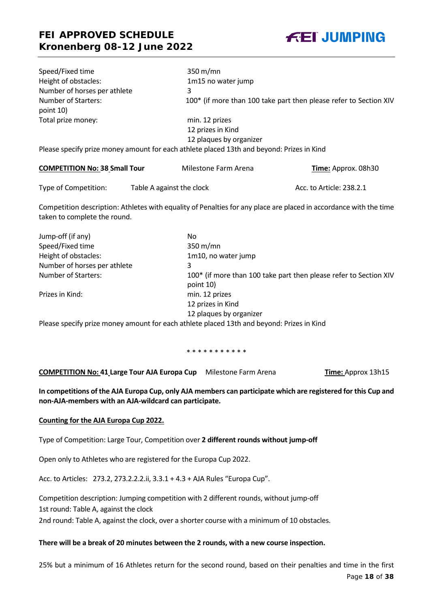

| Speed/Fixed time                        | $350 \text{ m/min}$                                                                       |
|-----------------------------------------|-------------------------------------------------------------------------------------------|
| Height of obstacles:                    | 1m15 no water jump                                                                        |
| Number of horses per athlete            | 3                                                                                         |
| <b>Number of Starters:</b><br>point 10) | 100* (if more than 100 take part then please refer to Section XIV                         |
| Total prize money:                      | min. 12 prizes                                                                            |
|                                         | 12 prizes in Kind                                                                         |
|                                         | 12 plaques by organizer                                                                   |
|                                         | Please specify prize money amount for each athlete placed 13th and beyond: Prizes in Kind |

| <b>COMPETITION No: 38 Small Tour</b> | Milestone Farm Arena      | <b>Time:</b> Approx. 08h30 |
|--------------------------------------|---------------------------|----------------------------|
| Type of Competition:                 | Table A against the clock | Acc. to Article: 238.2.1   |

Competition description: Athletes with equality of Penalties for any place are placed in accordance with the time taken to complete the round.

| Jump-off (if any)            | No.                                                                                       |
|------------------------------|-------------------------------------------------------------------------------------------|
| Speed/Fixed time             | $350 \text{ m/min}$                                                                       |
| Height of obstacles:         | 1m10, no water jump                                                                       |
| Number of horses per athlete | 3                                                                                         |
| <b>Number of Starters:</b>   | 100* (if more than 100 take part then please refer to Section XIV<br>point 10)            |
| Prizes in Kind:              | min. 12 prizes                                                                            |
|                              | 12 prizes in Kind                                                                         |
|                              | 12 plaques by organizer                                                                   |
|                              | Please specify prize money amount for each athlete placed 13th and beyond: Prizes in Kind |

\* \* \* \* \* \* \* \* \* \* \*

**COMPETITION No: 41 Large Tour AJA Europa Cup** Milestone Farm Arena **Time:** Approx 13h15

**In competitions of the AJA Europa Cup, only AJA members can participate which are registered for this Cup and non-AJA-members with an AJA-wildcard can participate.** 

## **Counting for the AJA Europa Cup 2022.**

Type of Competition: Large Tour, Competition over **2 different rounds without jump-off**

Open only to Athletes who are registered for the Europa Cup 2022.

Acc. to Articles: 273.2, 273.2.2.2.ii, 3.3.1 + 4.3 + AJA Rules "Europa Cup".

Competition description: Jumping competition with 2 different rounds, without jump-off 1st round: Table A, against the clock

2nd round: Table A, against the clock, over a shorter course with a minimum of 10 obstacles.

#### **There will be a break of 20 minutes between the 2 rounds, with a new course inspection.**

25% but a minimum of 16 Athletes return for the second round, based on their penalties and time in the first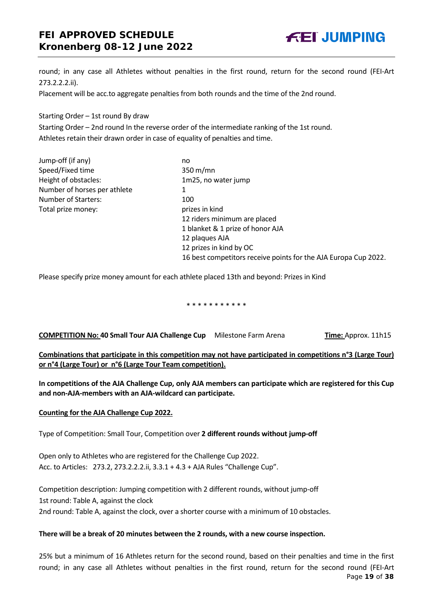## **FEI APPROVED SCHEDULE Kronenberg 08-12 June 2022**



round; in any case all Athletes without penalties in the first round, return for the second round (FEI-Art 273.2.2.2.ii).

Placement will be acc.to aggregate penalties from both rounds and the time of the 2nd round.

Starting Order – 1st round By draw

Starting Order – 2nd round In the reverse order of the intermediate ranking of the 1st round. Athletes retain their drawn order in case of equality of penalties and time.

Jump-off (if any) no Speed/Fixed time 350 m/mn Height of obstacles: 1m25, no water jump Number of horses per athlete 1 Number of Starters: 100 Total prize money: prizes in kind

12 riders minimum are placed 1 blanket & 1 prize of honor AJA 12 plaques AJA 12 prizes in kind by OC 16 best competitors receive points for the AJA Europa Cup 2022.

Please specify prize money amount for each athlete placed 13th and beyond: Prizes in Kind

\* \* \* \* \* \* \* \* \* \* \*

**COMPETITION No: 40 Small Tour AJA Challenge Cup** Milestone Farm Arena **Time:** Approx. 11h15

**Combinations that participate in this competition may not have participated in competitions n°3 (Large Tour) or n°4 (Large Tour) or n°6 (Large Tour Team competition).**

**In competitions of the AJA Challenge Cup, only AJA members can participate which are registered for this Cup and non-AJA-members with an AJA-wildcard can participate.**

#### **Counting for the AJA Challenge Cup 2022.**

Type of Competition: Small Tour, Competition over **2 different rounds without jump-off** 

Open only to Athletes who are registered for the Challenge Cup 2022. Acc. to Articles: 273.2, 273.2.2.2.ii, 3.3.1 + 4.3 + AJA Rules "Challenge Cup".

Competition description: Jumping competition with 2 different rounds, without jump-off 1st round: Table A, against the clock

2nd round: Table A, against the clock, over a shorter course with a minimum of 10 obstacles.

#### **There will be a break of 20 minutes between the 2 rounds, with a new course inspection.**

Page **19** of **38** 25% but a minimum of 16 Athletes return for the second round, based on their penalties and time in the first round; in any case all Athletes without penalties in the first round, return for the second round (FEI-Art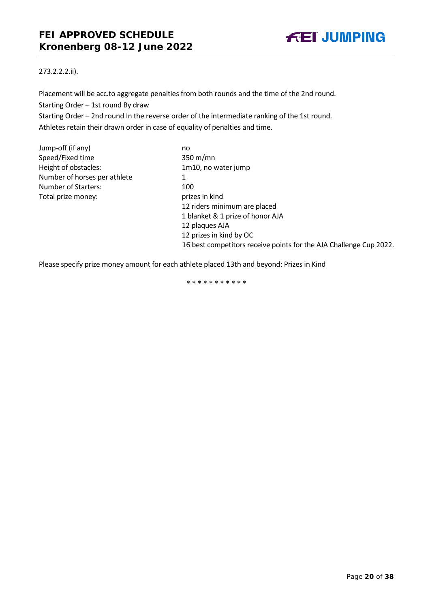

## 273.2.2.2.ii).

Placement will be acc.to aggregate penalties from both rounds and the time of the 2nd round. Starting Order – 1st round By draw Starting Order – 2nd round In the reverse order of the intermediate ranking of the 1st round. Athletes retain their drawn order in case of equality of penalties and time.

| Jump-off (if any)            | no   |
|------------------------------|------|
| Speed/Fixed time             | 350  |
| Height of obstacles:         | 1m   |
| Number of horses per athlete | 1    |
| <b>Number of Starters:</b>   | 100  |
| Total prize money:           | priz |
|                              |      |

 $350$  m/mn 1m10, no water jump prizes in kind 12 riders minimum are placed 1 blanket & 1 prize of honor AJA 12 plaques AJA 12 prizes in kind by OC 16 best competitors receive points for the AJA Challenge Cup 2022.

Please specify prize money amount for each athlete placed 13th and beyond: Prizes in Kind

\* \* \* \* \* \* \* \* \* \* \*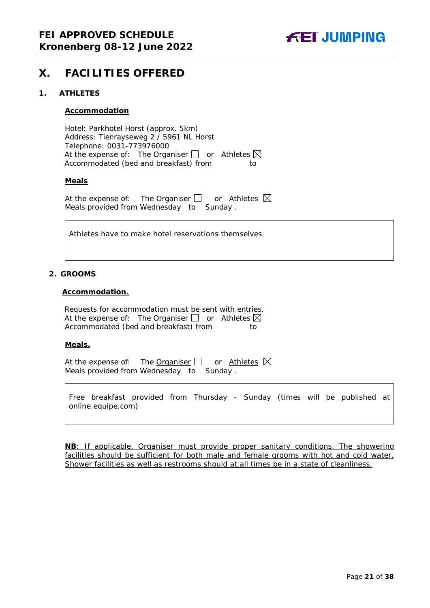

## <span id="page-20-0"></span>**X. FACILITIES OFFERED**

#### <span id="page-20-1"></span>**1. ATHLETES**

#### **Accommodation**

Hotel: Parkhotel Horst (approx. 5km) Address: Tienrayseweg 2 / 5961 NL Horst Telephone: 0031-773976000 At the expense of: The Organiser  $\Box$  or Athletes  $\boxtimes$ Accommodated (bed and breakfast) from to

#### **Meals**

At the expense of: The Organiser  $\Box$  or Athletes  $\boxtimes$ Meals provided from Wednesday to Sunday .

Athletes have to make hotel reservations themselves

#### <span id="page-20-2"></span>**2. GROOMS**

#### **Accommodation.**

Requests for accommodation must be sent with entries. At the expense of: The Organiser  $\Box$  or Athletes  $\boxtimes$ Accommodated (bed and breakfast) from to

#### **Meals.**

At the expense of: The Organiser  $\Box$  or Athletes  $\boxtimes$ Meals provided from Wednesday to Sunday .

Free breakfast provided from Thursday - Sunday (times will be published at online.equipe.com)

**NB**: If applicable, Organiser must provide proper sanitary conditions. The showering facilities should be sufficient for both male and female grooms with hot and cold water. Shower facilities as well as restrooms should at all times be in a state of cleanliness.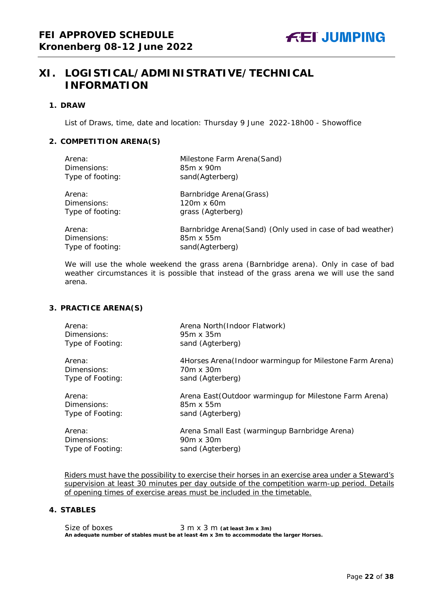# <span id="page-21-0"></span>**XI. LOGISTICAL/ADMINISTRATIVE/TECHNICAL INFORMATION**

#### <span id="page-21-1"></span>**1. DRAW**

List of Draws, time, date and location: Thursday 9 June 2022-18h00 - Showoffice

## <span id="page-21-2"></span>**2. COMPETITION ARENA(S)**

| Arena:           | Milestone Farm Arena(Sand)                                |
|------------------|-----------------------------------------------------------|
| Dimensions:      | 85m x 90m                                                 |
| Type of footing: | sand(Agterberg)                                           |
| Arena:           | Barnbridge Arena (Grass)                                  |
| Dimensions:      | $120m \times 60m$                                         |
| Type of footing: | grass (Agterberg)                                         |
| Arena:           | Barnbridge Arena(Sand) (Only used in case of bad weather) |
| Dimensions:      | 85m x 55m                                                 |
| Type of footing: | sand(Agterberg)                                           |

*We will use the whole weekend the grass arena (Barnbridge arena). Only in case of bad weather circumstances it is possible that instead of the grass arena we will use the sand arena.* 

## <span id="page-21-3"></span>**3. PRACTICE ARENA(S)**

| Arena:           | Arena North (Indoor Flatwork)                             |
|------------------|-----------------------------------------------------------|
| Dimensions:      | 95m x 35m                                                 |
| Type of Footing: | sand (Agterberg)                                          |
| Arena:           | 4Horses Arena (Indoor warmingup for Milestone Farm Arena) |
| Dimensions:      | 70m x 30m                                                 |
| Type of Footing: | sand (Agterberg)                                          |
| Arena:           | Arena East (Outdoor warmingup for Milestone Farm Arena)   |
| Dimensions:      | 85m x 55m                                                 |
| Type of Footing: | sand (Agterberg)                                          |
| Arena:           | Arena Small East (warmingup Barnbridge Arena)             |
| Dimensions:      | 90m x 30m                                                 |
| Type of Footing: | sand (Agterberg)                                          |

Riders must have the possibility to exercise their horses in an exercise area under a Steward's supervision at least 30 minutes per day outside of the competition warm-up period. Details of opening times of exercise areas must be included in the timetable.

## <span id="page-21-4"></span>**4. STABLES**

Size of boxes 3 m x 3 m (at least 3m x 3m) **An adequate number of stables must be at least 4m x 3m to accommodate the larger Horses.**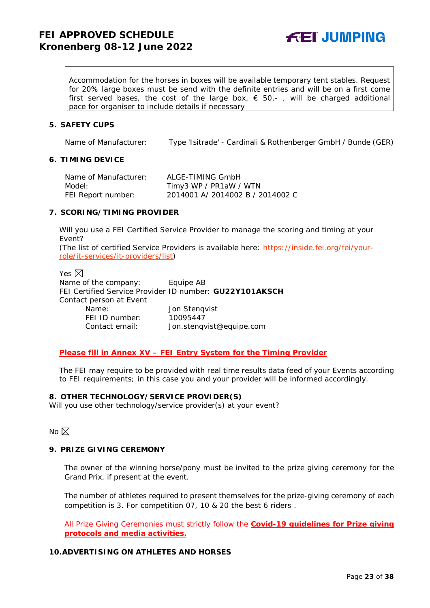**FEI JUMPING** 

Accommodation for the horses in boxes will be available temporary tent stables. Request for 20% large boxes must be send with the definite entries and will be on a first come first served bases, the cost of the large box,  $\epsilon$  50,-, will be charged additional pace for organiser to include details if necessary

#### <span id="page-22-0"></span>**5. SAFETY CUPS**

Name of Manufacturer: Type 'Isitrade' - Cardinali & Rothenberger GmbH / Bunde (GER)

#### <span id="page-22-1"></span>**6. TIMING DEVICE**

| Name of Manufacturer: | ALGE-TIMING GmbH                 |
|-----------------------|----------------------------------|
| Model:                | Timy3 WP / PR1aW / WTN           |
| FEI Report number:    | 2014001 A/ 2014002 B / 2014002 C |

#### <span id="page-22-2"></span>**7. SCORING/TIMING PROVIDER**

Will you use a FEI Certified Service Provider to manage the scoring and timing at your Event?

*(The list of certified Service Providers is available here:* [https://inside.fei.org/fei/your](https://inside.fei.org/fei/your-role/it-services/it-providers/list)[role/it-services/it-providers/list](https://inside.fei.org/fei/your-role/it-services/it-providers/list)*)*

Yes  $\boxtimes$ Name of the company: Equipe AB FEI Certified Service Provider ID number: **GU22Y101AKSCH** Contact person at Event Name: Jon Stenqvist FEI ID number: 10095447 Contact email: *Jon.stenqvist@equipe.com* 

#### *Please fill in Annex XV – FEI Entry System for the Timing Provider*

The FEI may require to be provided with real time results data feed of your Events according to FEI requirements; in this case you and your provider will be informed accordingly.

#### <span id="page-22-3"></span>**8. OTHER TECHNOLOGY/SERVICE PROVIDER(S)**

Will you use other technology/service provider(s) at your event?

No  $\boxtimes$ 

## <span id="page-22-4"></span>**9. PRIZE GIVING CEREMONY**

The owner of the winning horse/pony must be invited to the prize giving ceremony for the Grand Prix, if present at the event.

The number of athletes required to present themselves for the prize-giving ceremony of each competition is 3. For competition 07, 10 & 20 the best 6 riders .

All Prize Giving Ceremonies must strictly follow the **Covid-19 guidelines for Prize giving protocols and media activities.**

## <span id="page-22-5"></span>**10.ADVERTISING ON ATHLETES AND HORSES**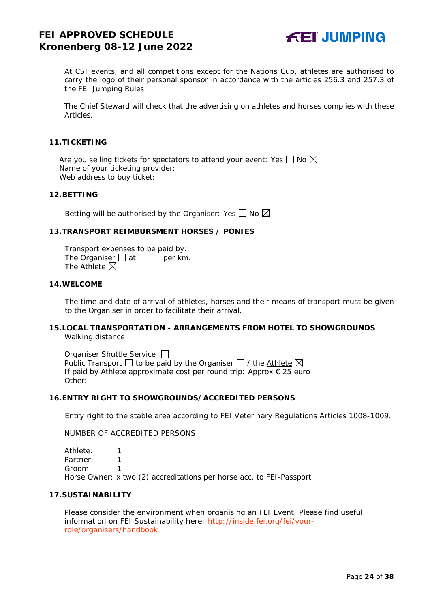

At CSI events, and all competitions except for the Nations Cup, athletes are authorised to carry the logo of their personal sponsor in accordance with the articles 256.3 and 257.3 of the FEI Jumping Rules.

The Chief Steward will check that the advertising on athletes and horses complies with these Articles.

#### <span id="page-23-0"></span>**11.TICKETING**

Are you selling tickets for spectators to attend your event: Yes  $\Box$  No  $\boxtimes$ Name of your ticketing provider: Web address to buy ticket:

#### <span id="page-23-1"></span>**12.BETTING**

Betting will be authorised by the Organiser: Yes  $\Box$  No  $\boxtimes$ 

#### <span id="page-23-2"></span>**13.TRANSPORT REIMBURSMENT HORSES / PONIES**

Transport expenses to be paid by: The Organiser  $\Box$  at per km. The Athlete  $\boxtimes$ 

#### <span id="page-23-3"></span>**14.WELCOME**

The time and date of arrival of athletes, horses and their means of transport must be given to the Organiser in order to facilitate their arrival.

#### <span id="page-23-4"></span>**15.LOCAL TRANSPORTATION - ARRANGEMENTS FROM HOTEL TO SHOWGROUNDS** Walking distance

Organiser Shuttle Service  $\Box$ Public Transport  $\Box$  to be paid by the Organiser  $\Box$  / the Athlete  $\boxtimes$ If paid by Athlete approximate cost per round trip: Approx € 25 euro Other:

#### <span id="page-23-5"></span>**16.ENTRY RIGHT TO SHOWGROUNDS/ACCREDITED PERSONS**

Entry right to the stable area according to FEI Veterinary Regulations Articles 1008-1009.

NUMBER OF ACCREDITED PERSONS:

Athlete: 1 Partner: 1 Groom: 1 Horse Owner: x two (2) accreditations per horse acc. to FEI-Passport

## <span id="page-23-6"></span>**17.SUSTAINABILITY**

Please consider the environment when organising an FEI Event. Please find useful information on FEI Sustainability here: [http://inside.fei.org/fei/your](http://inside.fei.org/fei/your-role/organisers/handbook)[role/organisers/handbook](http://inside.fei.org/fei/your-role/organisers/handbook)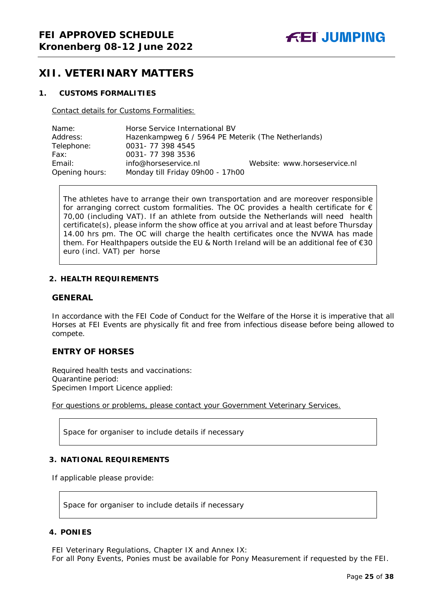## <span id="page-24-0"></span>**XII. VETERINARY MATTERS**

#### <span id="page-24-1"></span>**1. CUSTOMS FORMALITIES**

Contact details for Customs Formalities:

| Name:          | Horse Service International BV                     |                              |  |
|----------------|----------------------------------------------------|------------------------------|--|
| Address:       | Hazenkampweg 6 / 5964 PE Meterik (The Netherlands) |                              |  |
| Telephone:     | 0031-77 398 4545                                   |                              |  |
| Fax:           | 0031-773983536                                     |                              |  |
| Email:         | info@horseservice.nl                               | Website: www.horseservice.nl |  |
| Opening hours: | Monday till Friday 09h00 - 17h00                   |                              |  |

The athletes have to arrange their own transportation and are moreover responsible for arranging correct custom formalities. The OC provides a health certificate for  $\epsilon$ 70,00 (including VAT). If an athlete from outside the Netherlands will need health certificate(s), please inform the show office at you arrival and at least before Thursday 14.00 hrs pm. The OC will charge the health certificates once the NVWA has made them. For Healthpapers outside the EU & North Ireland will be an additional fee of €30 euro (incl. VAT) per horse

## <span id="page-24-2"></span>**2. HEALTH REQUIREMENTS**

## **GENERAL**

In accordance with the FEI Code of Conduct for the Welfare of the Horse it is imperative that all Horses at FEI Events are physically fit and free from infectious disease before being allowed to compete.

## **ENTRY OF HORSES**

Required health tests and vaccinations: Quarantine period: Specimen Import Licence applied:

For questions or problems, please contact your Government Veterinary Services.

Space for organiser to include details if necessary

## <span id="page-24-3"></span>**3. NATIONAL REQUIREMENTS**

If applicable please provide:

Space for organiser to include details if necessary

## <span id="page-24-4"></span>**4. PONIES**

FEI Veterinary Regulations, Chapter IX and Annex IX: For all Pony Events, Ponies must be available for Pony Measurement if requested by the FEI.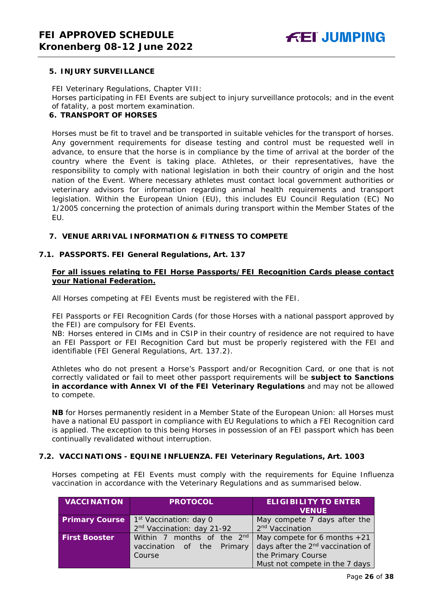## <span id="page-25-0"></span>**5. INJURY SURVEILLANCE**

FEI Veterinary Regulations, Chapter VIII: Horses participating in FEI Events are subject to injury surveillance protocols; and in the event of fatality, a post mortem examination.

## <span id="page-25-1"></span>**6. TRANSPORT OF HORSES**

Horses must be fit to travel and be transported in suitable vehicles for the transport of horses. Any government requirements for disease testing and control must be requested well in advance, to ensure that the horse is in compliance by the time of arrival at the border of the country where the Event is taking place. Athletes, or their representatives, have the responsibility to comply with national legislation in both their country of origin and the host nation of the Event. Where necessary athletes must contact local government authorities or veterinary advisors for information regarding animal health requirements and transport legislation. Within the European Union (EU), this includes EU Council Regulation (EC) No 1/2005 concerning the protection of animals during transport within the Member States of the EU.

## <span id="page-25-2"></span>**7. VENUE ARRIVAL INFORMATION & FITNESS TO COMPETE**

## **7.1. PASSPORTS. FEI General Regulations, Art. 137**

## **For all issues relating to FEI Horse Passports/FEI Recognition Cards please contact your National Federation.**

All Horses competing at FEI Events must be registered with the FEI.

FEI Passports or FEI Recognition Cards (for those Horses with a national passport approved by the FEI) are compulsory for FEI Events.

NB: Horses entered in CIMs and in CSIP in their country of residence are not required to have an FEI Passport or FEI Recognition Card but must be properly registered with the FEI and identifiable (FEI General Regulations, Art. 137.2).

Athletes who do not present a Horse's Passport and/or Recognition Card, or one that is not correctly validated or fail to meet other passport requirements will be **subject to Sanctions in accordance with Annex VI of the FEI Veterinary Regulations** and may not be allowed to compete.

**NB** for Horses permanently resident in a Member State of the European Union: all Horses must have a national EU passport in compliance with EU Regulations to which a FEI Recognition card is applied. The exception to this being Horses in possession of an FEI passport which has been continually revalidated without interruption.

## **7.2. VACCINATIONS - EQUINE INFLUENZA. FEI Veterinary Regulations, Art. 1003**

Horses competing at FEI Events must comply with the requirements for Equine Influenza vaccination in accordance with the Veterinary Regulations and as summarised below.

| <b>VACCINATION</b>    | <b>PROTOCOL</b>                        | <b>ELIGIBILITY TO ENTER</b><br><b>VENUE</b>   |
|-----------------------|----------------------------------------|-----------------------------------------------|
| <b>Primary Course</b> | 1 <sup>st</sup> Vaccination: day 0     | May compete 7 days after the                  |
|                       | 2 <sup>nd</sup> Vaccination: day 21-92 | 2 <sup>nd</sup> Vaccination                   |
| <b>First Booster</b>  | Within 7 months of the 2 <sup>nd</sup> | May compete for 6 months $+21$                |
|                       | vaccination of the Primary             | days after the 2 <sup>nd</sup> vaccination of |
|                       | Course                                 | the Primary Course                            |
|                       |                                        | Must not compete in the 7 days                |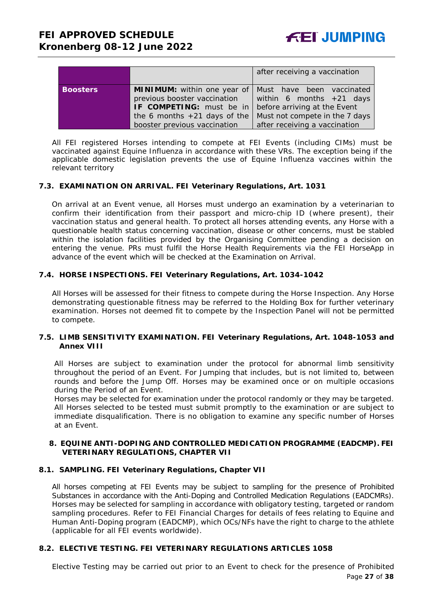|                 |                                                                | after receiving a vaccination  |
|-----------------|----------------------------------------------------------------|--------------------------------|
| <b>Boosters</b> | <b>MINIMUM:</b> within one year of   Must have been vaccinated |                                |
|                 | previous booster vaccination                                   | within 6 months $+21$ days     |
|                 | IF COMPETING: must be in                                       | before arriving at the Event   |
|                 | the 6 months $+21$ days of the                                 | Must not compete in the 7 days |
|                 | booster previous vaccination                                   | after receiving a vaccination  |

All FEI registered Horses intending to compete at FEI Events (including CIMs) must be vaccinated against Equine Influenza in accordance with these VRs. The exception being if the applicable domestic legislation prevents the use of Equine Influenza vaccines within the relevant territory

## **7.3. EXAMINATION ON ARRIVAL. FEI Veterinary Regulations, Art. 1031**

On arrival at an Event venue, all Horses must undergo an examination by a veterinarian to confirm their identification from their passport and micro-chip ID (where present), their vaccination status and general health. To protect all horses attending events, any Horse with a questionable health status concerning vaccination, disease or other concerns, must be stabled within the isolation facilities provided by the Organising Committee pending a decision on entering the venue. PRs must fulfil the Horse Health Requirements via the FEI HorseApp in advance of the event which will be checked at the Examination on Arrival.

## **7.4. HORSE INSPECTIONS. FEI Veterinary Regulations, Art. 1034-1042**

All Horses will be assessed for their fitness to compete during the Horse Inspection. Any Horse demonstrating questionable fitness may be referred to the Holding Box for further veterinary examination. Horses not deemed fit to compete by the Inspection Panel will not be permitted to compete.

## **7.5. LIMB SENSITIVITY EXAMINATION. FEI Veterinary Regulations, Art. 1048-1053 and Annex VIII**

All Horses are subject to examination under the protocol for abnormal limb sensitivity throughout the period of an Event. For Jumping that includes, but is not limited to, between rounds and before the Jump Off. Horses may be examined once or on multiple occasions during the Period of an Event.

Horses may be selected for examination under the protocol randomly or they may be targeted. All Horses selected to be tested must submit promptly to the examination or are subject to immediate disqualification. There is no obligation to examine any specific number of Horses at an Event.

#### <span id="page-26-0"></span>**8. EQUINE ANTI-DOPING AND CONTROLLED MEDICATION PROGRAMME (EADCMP). FEI VETERINARY REGULATIONS, CHAPTER VII**

## **8.1. SAMPLING. FEI Veterinary Regulations, Chapter VII**

All horses competing at FEI Events may be subject to sampling for the presence of Prohibited Substances in accordance with the Anti-Doping and Controlled Medication Regulations (EADCMRs). Horses may be selected for sampling in accordance with obligatory testing, targeted or random sampling procedures. Refer to FEI Financial Charges for details of fees relating to Equine and Human Anti-Doping program (EADCMP), which OCs/NFs have the right to charge to the athlete (applicable for all FEI events worldwide).

## **8.2. ELECTIVE TESTING. FEI VETERINARY REGULATIONS ARTICLES 1058**

Elective Testing may be carried out prior to an Event to check for the presence of Prohibited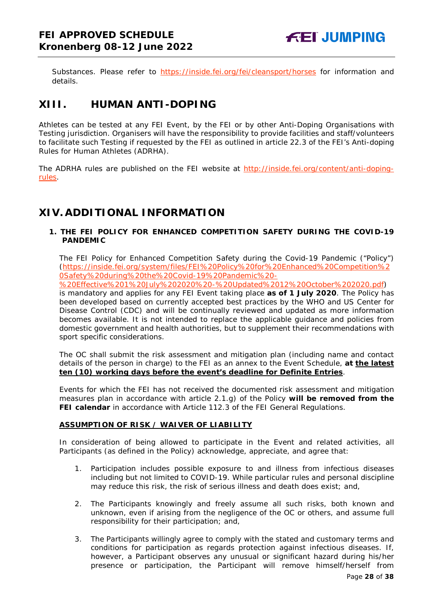Substances. Please refer to <https://inside.fei.org/fei/cleansport/horses> for information and details.

# <span id="page-27-0"></span>**XIII. HUMAN ANTI-DOPING**

Athletes can be tested at any FEI Event, by the FEI or by other Anti-Doping Organisations with Testing jurisdiction. Organisers will have the responsibility to provide facilities and staff/volunteers to facilitate such Testing if requested by the FEI as outlined in article 22.3 of the FEI's Anti-doping Rules for Human Athletes (ADRHA).

The ADRHA rules are published on the FEI website at [http://inside.fei.org/content/anti-doping](http://inside.fei.org/content/anti-doping-rules)[rules.](http://inside.fei.org/content/anti-doping-rules)

# <span id="page-27-1"></span>**XIV. ADDITIONAL INFORMATION**

## <span id="page-27-2"></span>**1. THE FEI POLICY FOR ENHANCED COMPETITION SAFETY DURING THE COVID-19 PANDEMIC**

The FEI Policy for Enhanced Competition Safety during the Covid-19 Pandemic ("Policy") (https://inside.fei.org/system/files/FEI%20Policy%20for%20Enhanced%20Competition%2 0Safety%20during%20the%20Covid-19%20Pandemic%20-

%20Effective%201%20July%202020%20-%20Updated%2012%20October%202020.pdf)

is mandatory and applies for any FEI Event taking place **as of 1 July 2020**. The Policy has been developed based on currently accepted best practices by the WHO and US Center for Disease Control (CDC) and will be continually reviewed and updated as more information becomes available. It is not intended to replace the applicable guidance and policies from domestic government and health authorities, but to supplement their recommendations with sport specific considerations.

The OC shall submit the risk assessment and mitigation plan (including name and contact details of the person in charge) to the FEI as an annex to the Event Schedule, **at the latest ten (10) working days before the event's deadline for Definite Entries**.

Events for which the FEI has not received the documented risk assessment and mitigation measures plan in accordance with article 2.1.g) of the Policy **will be removed from the FEI calendar** in accordance with Article 112.3 of the FEI General Regulations.

## **ASSUMPTION OF RISK / WAIVER OF LIABILITY**

In consideration of being allowed to participate in the Event and related activities, all Participants (as defined in the Policy) acknowledge, appreciate, and agree that:

- 1. Participation includes possible exposure to and illness from infectious diseases including but not limited to COVID-19. While particular rules and personal discipline may reduce this risk, the risk of serious illness and death does exist; and,
- 2. The Participants knowingly and freely assume all such risks, both known and unknown, even if arising from the negligence of the OC or others, and assume full responsibility for their participation; and,
- 3. The Participants willingly agree to comply with the stated and customary terms and conditions for participation as regards protection against infectious diseases. If, however, a Participant observes any unusual or significant hazard during his/her presence or participation, the Participant will remove himself/herself from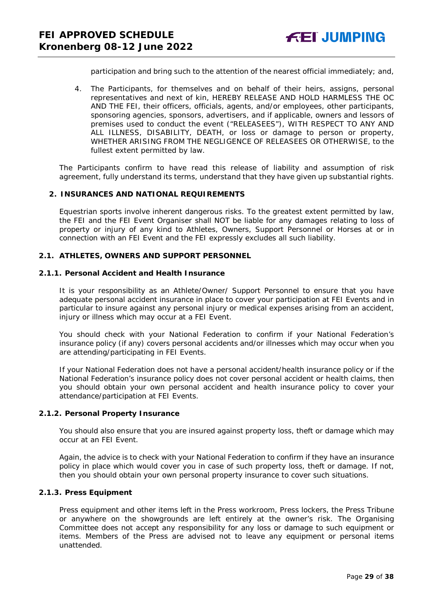participation and bring such to the attention of the nearest official immediately; and,

4. The Participants, for themselves and on behalf of their heirs, assigns, personal representatives and next of kin, HEREBY RELEASE AND HOLD HARMLESS THE OC AND THE FEI, their officers, officials, agents, and/or employees, other participants, sponsoring agencies, sponsors, advertisers, and if applicable, owners and lessors of premises used to conduct the event ("RELEASEES"), WITH RESPECT TO ANY AND ALL ILLNESS, DISABILITY, DEATH, or loss or damage to person or property, WHETHER ARISING FROM THE NEGLIGENCE OF RELEASEES OR OTHERWISE, to the fullest extent permitted by law.

The Participants confirm to have read this release of liability and assumption of risk agreement, fully understand its terms, understand that they have given up substantial rights.

## <span id="page-28-0"></span>**2. INSURANCES AND NATIONAL REQUIREMENTS**

Equestrian sports involve inherent dangerous risks. To the greatest extent permitted by law, the FEI and the FEI Event Organiser shall NOT be liable for any damages relating to loss of property or injury of any kind to Athletes, Owners, Support Personnel or Horses at or in connection with an FEI Event and the FEI expressly excludes all such liability.

#### **2.1. ATHLETES, OWNERS AND SUPPORT PERSONNEL**

#### **2.1.1. Personal Accident and Health Insurance**

It is your responsibility as an Athlete/Owner/ Support Personnel to ensure that you have adequate personal accident insurance in place to cover your participation at FEI Events and in particular to insure against any personal injury or medical expenses arising from an accident, injury or illness which may occur at a FEI Event.

You should check with your National Federation to confirm if your National Federation's insurance policy (if any) covers personal accidents and/or illnesses which may occur when you are attending/participating in FEI Events.

If your National Federation does not have a personal accident/health insurance policy or if the National Federation's insurance policy does not cover personal accident or health claims, then you should obtain your own personal accident and health insurance policy to cover your attendance/participation at FEI Events.

#### **2.1.2. Personal Property Insurance**

You should also ensure that you are insured against property loss, theft or damage which may occur at an FEI Event.

Again, the advice is to check with your National Federation to confirm if they have an insurance policy in place which would cover you in case of such property loss, theft or damage. If not, then you should obtain your own personal property insurance to cover such situations.

#### **2.1.3. Press Equipment**

Press equipment and other items left in the Press workroom, Press lockers, the Press Tribune or anywhere on the showgrounds are left entirely at the owner's risk. The Organising Committee does not accept any responsibility for any loss or damage to such equipment or items. Members of the Press are advised not to leave any equipment or personal items unattended.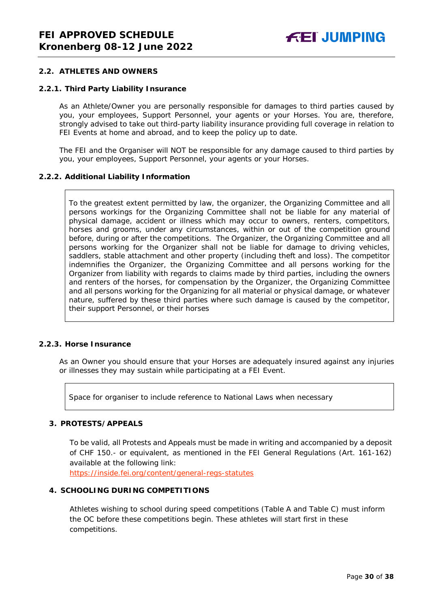## **2.2. ATHLETES AND OWNERS**

#### **2.2.1. Third Party Liability Insurance**

As an Athlete/Owner you are personally responsible for damages to third parties caused by you, your employees, Support Personnel, your agents or your Horses. You are, therefore, strongly advised to take out third-party liability insurance providing full coverage in relation to FEI Events at home and abroad, and to keep the policy up to date.

The FEI and the Organiser will NOT be responsible for any damage caused to third parties by you, your employees, Support Personnel, your agents or your Horses.

#### **2.2.2. Additional Liability Information**

To the greatest extent permitted by law, the organizer, the Organizing Committee and all persons workings for the Organizing Committee shall not be liable for any material of physical damage, accident or illness which may occur to owners, renters, competitors, horses and grooms, under any circumstances, within or out of the competition ground before, during or after the competitions. The Organizer, the Organizing Committee and all persons working for the Organizer shall not be liable for damage to driving vehicles, saddlers, stable attachment and other property (including theft and loss). The competitor indemnifies the Organizer, the Organizing Committee and all persons working for the Organizer from liability with regards to claims made by third parties, including the owners and renters of the horses, for compensation by the Organizer, the Organizing Committee and all persons working for the Organizing for all material or physical damage, or whatever nature, suffered by these third parties where such damage is caused by the competitor, their support Personnel, or their horses

#### **2.2.3. Horse Insurance**

As an Owner you should ensure that your Horses are adequately insured against any injuries or illnesses they may sustain while participating at a FEI Event.

Space for organiser to include reference to National Laws when necessary

## <span id="page-29-0"></span>**3. PROTESTS/APPEALS**

To be valid, all Protests and Appeals must be made in writing and accompanied by a deposit of CHF 150.- or equivalent, as mentioned in the FEI General Regulations (Art. 161-162) available at the following link:

<https://inside.fei.org/content/general-regs-statutes>

## <span id="page-29-1"></span>**4. SCHOOLING DURING COMPETITIONS**

Athletes wishing to school during speed competitions (Table A and Table C) must inform the OC before these competitions begin. These athletes will start first in these competitions.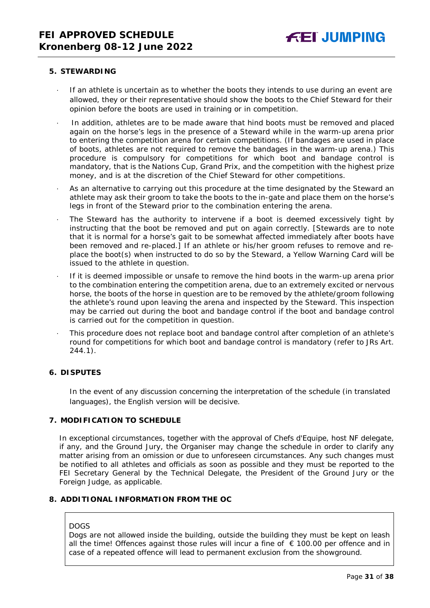#### <span id="page-30-0"></span>**5. STEWARDING**

- If an athlete is uncertain as to whether the boots they intends to use during an event are allowed, they or their representative should show the boots to the Chief Steward for their opinion before the boots are used in training or in competition.
- In addition, athletes are to be made aware that hind boots must be removed and placed again on the horse's legs in the presence of a Steward while in the warm-up arena prior to entering the competition arena for certain competitions. (If bandages are used in place of boots, athletes are not required to remove the bandages in the warm-up arena.) This procedure is compulsory for competitions for which boot and bandage control is mandatory, that is the Nations Cup, Grand Prix, and the competition with the highest prize money, and is at the discretion of the Chief Steward for other competitions.
- As an alternative to carrying out this procedure at the time designated by the Steward an athlete may ask their groom to take the boots to the in-gate and place them on the horse's legs in front of the Steward prior to the combination entering the arena.
- The Steward has the authority to intervene if a boot is deemed excessively tight by instructing that the boot be removed and put on again correctly. *[Stewards are to note that it is normal for a horse's gait to be somewhat affected immediately after boots have been removed and re-placed.]* If an athlete or his/her groom refuses to remove and replace the boot(s) when instructed to do so by the Steward, a Yellow Warning Card will be issued to the athlete in question.
- If it is deemed impossible or unsafe to remove the hind boots in the warm-up arena prior to the combination entering the competition arena, due to an extremely excited or nervous horse, the boots of the horse in question are to be removed by the athlete/groom following the athlete's round upon leaving the arena and inspected by the Steward. This inspection may be carried out during the boot and bandage control if the boot and bandage control is carried out for the competition in question.
- This procedure does not replace boot and bandage control after completion of an athlete's round for competitions for which boot and bandage control is mandatory (refer to JRs Art. 244.1).

## <span id="page-30-1"></span>**6. DISPUTES**

In the event of any discussion concerning the interpretation of the schedule (in translated languages), the English version will be decisive.

#### <span id="page-30-2"></span>**7. MODIFICATION TO SCHEDULE**

In exceptional circumstances, together with the approval of Chefs d'Equipe, host NF delegate, if any, and the Ground Jury, the Organiser may change the schedule in order to clarify any matter arising from an omission or due to unforeseen circumstances. Any such changes must be notified to all athletes and officials as soon as possible and they must be reported to the FEI Secretary General by the Technical Delegate, the President of the Ground Jury or the Foreign Judge, as applicable.

## <span id="page-30-3"></span>**8. ADDITIONAL INFORMATION FROM THE OC**

#### DOGS

Dogs are not allowed inside the building, outside the building they must be kept on leash all the time! Offences against those rules will incur a fine of  $€100.00$  per offence and in case of a repeated offence will lead to permanent exclusion from the showground.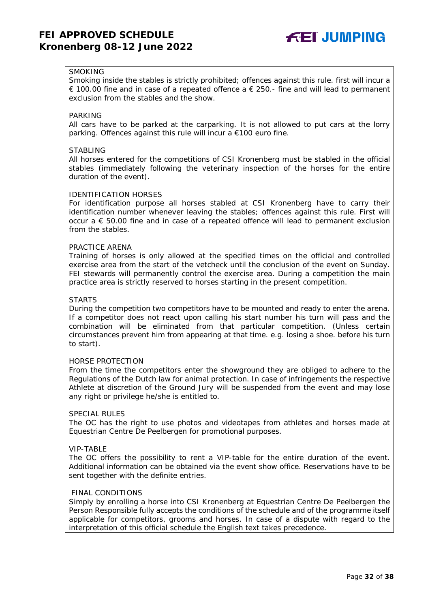

## **SMOKING**

Smoking inside the stables is strictly prohibited; offences against this rule. first will incur a € 100.00 fine and in case of a repeated offence a  $∈$  250.- fine and will lead to permanent exclusion from the stables and the show.

#### PARKING

All cars have to be parked at the carparking. It is not allowed to put cars at the lorry parking. Offences against this rule will incur a €100 euro fine.

#### STABLING

All horses entered for the competitions of CSI Kronenberg must be stabled in the official stables (immediately following the veterinary inspection of the horses for the entire duration of the event).

#### IDENTIFICATION HORSES

For identification purpose all horses stabled at CSI Kronenberg have to carry their identification number whenever leaving the stables; offences against this rule. First will occur  $a \in 50.00$  fine and in case of a repeated offence will lead to permanent exclusion from the stables.

#### PRACTICE ARENA

Training of horses is only allowed at the specified times on the official and controlled exercise area from the start of the vetcheck until the conclusion of the event on Sunday. FEI stewards will permanently control the exercise area. During a competition the main practice area is strictly reserved to horses starting in the present competition.

#### STARTS

During the competition two competitors have to be mounted and ready to enter the arena. If a competitor does not react upon calling his start number his turn will pass and the combination will be eliminated from that particular competition. (Unless certain circumstances prevent him from appearing at that time. e.g. losing a shoe. before his turn to start).

#### HORSE PROTECTION

From the time the competitors enter the showground they are obliged to adhere to the Regulations of the Dutch law for animal protection. In case of infringements the respective Athlete at discretion of the Ground Jury will be suspended from the event and may lose any right or privilege he/she is entitled to.

#### SPECIAL RULES

The OC has the right to use photos and videotapes from athletes and horses made at Equestrian Centre De Peelbergen for promotional purposes.

#### VIP-TABLE

The OC offers the possibility to rent a VIP-table for the entire duration of the event. Additional information can be obtained via the event show office. Reservations have to be sent together with the definite entries.

#### FINAL CONDITIONS

Simply by enrolling a horse into CSI Kronenberg at Equestrian Centre De Peelbergen the Person Responsible fully accepts the conditions of the schedule and of the programme itself applicable for competitors, grooms and horses. In case of a dispute with regard to the interpretation of this official schedule the English text takes precedence.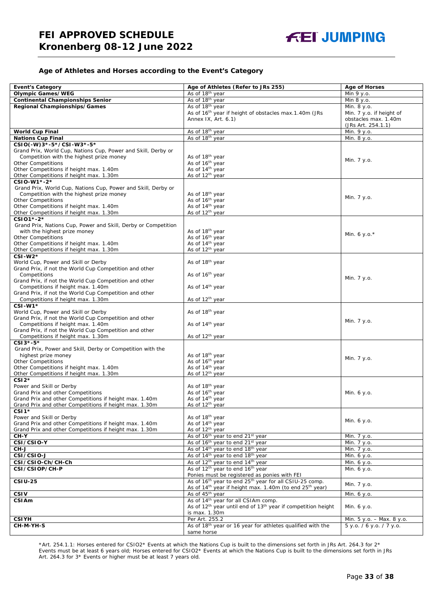#### **Age of Athletes and Horses according to the Event's Category**

| <b>Event's Category</b>                                                                                   | Age of Athletes (Refer to JRs 255)                                                                                             | <b>Age of Horses</b>      |
|-----------------------------------------------------------------------------------------------------------|--------------------------------------------------------------------------------------------------------------------------------|---------------------------|
| <b>Olympic Games/WEG</b>                                                                                  | As of 18 <sup>th</sup> year                                                                                                    | Min 9 y.o.                |
| <b>Continental Championships Senior</b>                                                                   | As of 18 <sup>th</sup> year                                                                                                    | Min 8 y.o.                |
| Regional Championships/Games                                                                              | As of 18 <sup>th</sup> year                                                                                                    | Min. 8 y.o.               |
|                                                                                                           | As of 16 <sup>th</sup> year if height of obstacles max.1.40m (JRs                                                              | Min. 7 y.o. if height of  |
|                                                                                                           | Annex IX, Art. 6.1)                                                                                                            | obstacles max. 1.40m      |
|                                                                                                           |                                                                                                                                | (JRs Art. 254.1.1)        |
| <b>World Cup Final</b>                                                                                    | As of 18th year                                                                                                                | Min. 9 y.o.               |
| <b>Nations Cup Final</b>                                                                                  | As of 18th year                                                                                                                | Min. 8 y.o.               |
| CSIO(-W)3*-5*/CSI-W3*-5*                                                                                  |                                                                                                                                |                           |
| Grand Prix, World Cup, Nations Cup, Power and Skill, Derby or                                             |                                                                                                                                |                           |
| Competition with the highest prize money                                                                  | As of 18 <sup>th</sup> year                                                                                                    | Min. 7 y.o.               |
| <b>Other Competitions</b>                                                                                 | As of 16th year                                                                                                                |                           |
| Other Competitions if height max. 1.40m                                                                   | As of 14 <sup>th</sup> year                                                                                                    |                           |
| Other Competitions if height max. 1.30m                                                                   | As of 12 <sup>th</sup> year                                                                                                    |                           |
| CSIO-W1*-2*                                                                                               |                                                                                                                                |                           |
| Grand Prix, World Cup, Nations Cup, Power and Skill, Derby or<br>Competition with the highest prize money | As of 18 <sup>th</sup> year                                                                                                    |                           |
| <b>Other Competitions</b>                                                                                 | As of 16 <sup>th</sup> year                                                                                                    | Min. 7 y.o.               |
| Other Competitions if height max. 1.40m                                                                   | As of 14 <sup>th</sup> year                                                                                                    |                           |
| Other Competitions if height max. 1.30m                                                                   | As of 12 <sup>th</sup> year                                                                                                    |                           |
| CSI01*-2*                                                                                                 |                                                                                                                                |                           |
| Grand Prix, Nations Cup, Power and Skill, Derby or Competition                                            |                                                                                                                                |                           |
| with the highest prize money                                                                              | As of 18 <sup>th</sup> year                                                                                                    |                           |
| <b>Other Competitions</b>                                                                                 | As of 16 <sup>th</sup> year                                                                                                    | Min. 6 y.o. $*$           |
| Other Competitions if height max. 1.40m                                                                   | As of 14 <sup>th</sup> year                                                                                                    |                           |
| Other Competitions if height max. 1.30m                                                                   | As of 12 <sup>th</sup> year                                                                                                    |                           |
| $CSI-W2*$                                                                                                 |                                                                                                                                |                           |
| World Cup, Power and Skill or Derby                                                                       | As of 18 <sup>th</sup> year                                                                                                    |                           |
| Grand Prix, if not the World Cup Competition and other                                                    |                                                                                                                                |                           |
| Competitions                                                                                              | As of 16 <sup>th</sup> year                                                                                                    | Min. 7 y.o.               |
| Grand Prix, if not the World Cup Competition and other                                                    |                                                                                                                                |                           |
| Competitions if height max. 1.40m<br>Grand Prix, if not the World Cup Competition and other               | As of 14 <sup>th</sup> year                                                                                                    |                           |
| Competitions if height max. 1.30m                                                                         | As of 12 <sup>th</sup> year                                                                                                    |                           |
| $CSI-W1*$                                                                                                 |                                                                                                                                |                           |
| World Cup, Power and Skill or Derby                                                                       | As of 18 <sup>th</sup> year                                                                                                    |                           |
| Grand Prix, if not the World Cup Competition and other                                                    |                                                                                                                                |                           |
| Competitions if height max. 1.40m                                                                         | As of 14 <sup>th</sup> year                                                                                                    | Min. 7 y.o.               |
| Grand Prix, if not the World Cup Competition and other                                                    |                                                                                                                                |                           |
| Competitions if height max. 1.30m                                                                         | As of 12 <sup>th</sup> year                                                                                                    |                           |
| $CSI3*-5*$                                                                                                |                                                                                                                                |                           |
| Grand Prix, Power and Skill, Derby or Competition with the                                                |                                                                                                                                |                           |
| highest prize money                                                                                       | As of 18 <sup>th</sup> year                                                                                                    | Min. 7 y.o.               |
| <b>Other Competitions</b>                                                                                 | As of 16 <sup>th</sup> year                                                                                                    |                           |
| Other Competitions if height max. 1.40m                                                                   | As of 14 <sup>th</sup> year                                                                                                    |                           |
| Other Competitions if height max. 1.30m<br>$CSI2*$                                                        | As of 12 <sup>th</sup> year                                                                                                    |                           |
| Power and Skill or Derby                                                                                  | As of 18th year                                                                                                                |                           |
| Grand Prix and other Competitions                                                                         | As of 16 <sup>th</sup> year                                                                                                    | Min. 6 y.o.               |
| Grand Prix and other Competitions if height max. 1.40m                                                    | As of 14 <sup>th</sup> year                                                                                                    |                           |
| Grand Prix and other Competitions if height max. 1.30m                                                    | As of 12 <sup>th</sup> year                                                                                                    |                           |
| $CSI1*$                                                                                                   |                                                                                                                                |                           |
| Power and Skill or Derby                                                                                  | As of 18 <sup>th</sup> year                                                                                                    |                           |
| Grand Prix and other Competitions if height max. 1.40m                                                    | As of 14 <sup>th</sup> year                                                                                                    | Min. 6 y.o.               |
| Grand Prix and other Competitions if height max. 1.30m                                                    | As of 12 <sup>th</sup> year                                                                                                    |                           |
| CH-Y                                                                                                      | As of 16 <sup>th</sup> year to end 21 <sup>st</sup> year                                                                       | Min. 7 y.o.               |
| CSI/CSIO-Y                                                                                                | As of 16 <sup>th</sup> year to end 21 <sup>st</sup> year                                                                       | Min. 7 y.o.               |
| CH-J                                                                                                      | As of 14 <sup>th</sup> year to end 18 <sup>th</sup> year                                                                       | Min. 7 y.o.               |
| CSI/CSIO-J                                                                                                | As of 14 <sup>th</sup> year to end 18 <sup>th</sup> year                                                                       | Min. 6 y.o.               |
| CSI/CSIO-Ch/CH-Ch                                                                                         | As of 12 <sup>th</sup> year to end 14 <sup>th</sup> year                                                                       | Min. 6 y.o.               |
| CSI/CSIOP/CH-P                                                                                            | As of 12 <sup>th</sup> year to end 16 <sup>th</sup> year                                                                       | Min. 6 y.o.               |
| <b>CSIU-25</b>                                                                                            | Ponies must be registered as ponies with FEI<br>As of 16 <sup>th</sup> year to end 25 <sup>th</sup> year for all CSIU-25 comp. |                           |
|                                                                                                           | As of 14 <sup>th</sup> year if height max. 1.40m (to end 25 <sup>th</sup> year)                                                | Min. 7 y.o.               |
| <b>CSIV</b>                                                                                               | As of 45 <sup>th</sup> year                                                                                                    | Min. 6 y.o.               |
| <b>CSIAm</b>                                                                                              | As of 14 <sup>th</sup> year for all CSIAm comp.                                                                                |                           |
|                                                                                                           | As of 12 <sup>th</sup> year until end of 13 <sup>th</sup> year if competition height                                           | Min. 6 y.o.               |
|                                                                                                           | is max. 1.30m                                                                                                                  |                           |
| <b>CSIYH</b>                                                                                              | Per Art. 255.2                                                                                                                 | Min. 5 y.o. - Max. 8 y.o. |
| CH-M-YH-S                                                                                                 | As of 18th year or 16 year for athletes qualified with the                                                                     | 5 y.o. / 6 y.o. / 7 y.o.  |
|                                                                                                           | same horse                                                                                                                     |                           |

\*Art. 254.1.1: Horses entered for CSIO2\* Events at which the Nations Cup is built to the dimensions set forth in JRs Art. 264.3 for 2\* Events must be at least 6 years old; Horses entered for CSIO2\* Events at which the Nations Cup is built to the dimensions set forth in JRs Art. 264.3 for 3\* Events or higher must be at least 7 years old.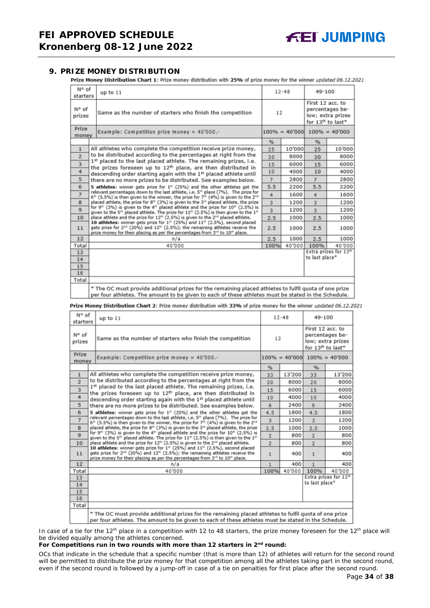## <span id="page-33-0"></span>**9. PRIZE MONEY DISTRIBUTION**

Prize Money Distribution Chart 1: Prize money distribution with 25% of prize money for the winner updated 06.12.2021

| N° of<br>starters | up to 11                                                                                                                                                                                                                                                                                                                                                                                                                                                                                                                                                                                                                                  |      | $12 - 48$ |                                                                                           | 49-100                            |  |
|-------------------|-------------------------------------------------------------------------------------------------------------------------------------------------------------------------------------------------------------------------------------------------------------------------------------------------------------------------------------------------------------------------------------------------------------------------------------------------------------------------------------------------------------------------------------------------------------------------------------------------------------------------------------------|------|-----------|-------------------------------------------------------------------------------------------|-----------------------------------|--|
| N° of<br>prizes   | Same as the number of starters who finish the competition                                                                                                                                                                                                                                                                                                                                                                                                                                                                                                                                                                                 | 12   |           | First 12 acc. to<br>percentages be-<br>low; extra prizes<br>for 13 <sup>th</sup> to last* |                                   |  |
| Prize<br>money    | Example: Competition prize money = $40'000$ .-                                                                                                                                                                                                                                                                                                                                                                                                                                                                                                                                                                                            |      |           |                                                                                           | $100\% = 40'000$ $100\% = 40'000$ |  |
|                   |                                                                                                                                                                                                                                                                                                                                                                                                                                                                                                                                                                                                                                           | %    |           | %                                                                                         |                                   |  |
| $\mathbf{1}$      | All athletes who complete the competition receive prize money,                                                                                                                                                                                                                                                                                                                                                                                                                                                                                                                                                                            | 25   | 10'000    | 25                                                                                        | 10'000                            |  |
| $\overline{2}$    | to be distributed according to the percentages at right from the                                                                                                                                                                                                                                                                                                                                                                                                                                                                                                                                                                          | 20   | 8000      | 20                                                                                        | 8000                              |  |
| 3                 | 1st placed to the last placed athlete. The remaining prizes, i.e.<br>the prizes foreseen up to 12 <sup>th</sup> place, are then distributed in                                                                                                                                                                                                                                                                                                                                                                                                                                                                                            | 15   | 6000      | 15                                                                                        | 6000                              |  |
| 4                 | descending order starting again with the 1st placed athlete until                                                                                                                                                                                                                                                                                                                                                                                                                                                                                                                                                                         | 10   | 4000      | 10                                                                                        | 4000                              |  |
| 5                 | there are no more prizes to be distributed. See examples below.                                                                                                                                                                                                                                                                                                                                                                                                                                                                                                                                                                           | 7    | 2800      | $\overline{7}$                                                                            | 2800                              |  |
| 6                 | 5 athletes: winner gets prize for 1 <sup>#</sup> (25%) and the other athletes get the                                                                                                                                                                                                                                                                                                                                                                                                                                                                                                                                                     | 5.5  | 2200      | 5.5                                                                                       | 2200                              |  |
| $\overline{7}$    | relevant percentages down to the last athlete, i.e. 5 <sup>th</sup> place (7%). The prize for<br>$6th$ (5.5%) is then given to the winner, the prize for 7 <sup>th</sup> (4%) is given to the 2 <sup>nd</sup>                                                                                                                                                                                                                                                                                                                                                                                                                             | 4    | 1600      | 4                                                                                         | 1600                              |  |
| 8                 | placed athlete, the prize for 8th (3%) is given to the 3rd placed athlete, the prize                                                                                                                                                                                                                                                                                                                                                                                                                                                                                                                                                      | 3    | 1200      | $\overline{3}$                                                                            | 1200                              |  |
| $\mathbf{Q}$      | for 9 <sup>th</sup> (3%) is given to the 4 <sup>th</sup> placed athlete and the prize for 10 <sup>th</sup> (2.5%) is<br>given to the 5 <sup>th</sup> placed athlete. The prize for $11th$ (2.5%) is then given to the $1th$<br>place athlete and the prize for 12 <sup>th</sup> (2.5%) is given to the 2 <sup>nd</sup> placed athlete.<br>10 athletes: winner gets prize for $131$ (25%) and $11th$ (2.5%), second placed<br>gets prize for 2 <sup>nd</sup> (20%) and 12 <sup>th</sup> (2.5%); the remaining athletes receive the<br>prize money for their placing as per the percentages from 3 <sup>rd</sup> to 10 <sup>th</sup> place. |      | 1200      | $\overline{3}$                                                                            | 1200                              |  |
| 10                |                                                                                                                                                                                                                                                                                                                                                                                                                                                                                                                                                                                                                                           |      | 1000      | 2.5                                                                                       | 1000                              |  |
| 11                |                                                                                                                                                                                                                                                                                                                                                                                                                                                                                                                                                                                                                                           |      | 1000      | 2.5                                                                                       | 1000                              |  |
| 12                | n/a                                                                                                                                                                                                                                                                                                                                                                                                                                                                                                                                                                                                                                       | 2.5  | 1000      | 2.5                                                                                       | 1000                              |  |
| Total             | 40'000                                                                                                                                                                                                                                                                                                                                                                                                                                                                                                                                                                                                                                    | 100% | 40'000    | 100%                                                                                      | 40'000                            |  |
| 13                |                                                                                                                                                                                                                                                                                                                                                                                                                                                                                                                                                                                                                                           |      |           |                                                                                           | Extra prizes for 13th             |  |
| 14                |                                                                                                                                                                                                                                                                                                                                                                                                                                                                                                                                                                                                                                           |      |           | to last place*                                                                            |                                   |  |
| 15                |                                                                                                                                                                                                                                                                                                                                                                                                                                                                                                                                                                                                                                           |      |           |                                                                                           |                                   |  |
| 16                |                                                                                                                                                                                                                                                                                                                                                                                                                                                                                                                                                                                                                                           |      |           |                                                                                           |                                   |  |
| Total             |                                                                                                                                                                                                                                                                                                                                                                                                                                                                                                                                                                                                                                           |      |           |                                                                                           |                                   |  |
|                   | * The OC must provide additional prizes for the remaining placed athletes to fulfil quota of one prize<br>per four athletes. The amount to be given to each of these athletes must be stated in the Schedule.                                                                                                                                                                                                                                                                                                                                                                                                                             |      |           |                                                                                           |                                   |  |

Prize Money Distribution Chart 2: Prize money distribution with 33% of prize money for the winner updated 06.12.2021

| N° of<br>starters | up to $11$                                                                                                                                                                                                                                                          | $12 - 48$      |                  | 49-100                                                                                    |                       |
|-------------------|---------------------------------------------------------------------------------------------------------------------------------------------------------------------------------------------------------------------------------------------------------------------|----------------|------------------|-------------------------------------------------------------------------------------------|-----------------------|
| N° of<br>prizes   | Same as the number of starters who finish the competition                                                                                                                                                                                                           | 12             |                  | First 12 acc. to<br>percentages be-<br>low; extra prizes<br>for 13 <sup>th</sup> to last* |                       |
| Prize<br>money    | Example: Competition prize money = 40'000.-                                                                                                                                                                                                                         |                | $100\% = 40'000$ |                                                                                           | $100\% = 40'000$      |
|                   |                                                                                                                                                                                                                                                                     | $\frac{9}{6}$  |                  | %                                                                                         |                       |
| $\mathbf{1}$      | All athletes who complete the competition receive prize money,                                                                                                                                                                                                      | 33             | 13'200           | 33                                                                                        | 13'200                |
| $\overline{2}$    | to be distributed according to the percentages at right from the                                                                                                                                                                                                    | 20             | 8000             | 20                                                                                        | 8000                  |
| 3                 | 1st placed to the last placed athlete. The remaining prizes, i.e.<br>the prizes foreseen up to 12 <sup>th</sup> place, are then distributed in                                                                                                                      | 15             | 6000             | 15                                                                                        | 6000                  |
| 4                 | descending order starting again with the 1st placed athlete until                                                                                                                                                                                                   | 10             | 4000             | 10                                                                                        | 4000                  |
| 5                 | there are no more prizes to be distributed. See examples below.                                                                                                                                                                                                     | 6              | 2400             | 6                                                                                         | 2400                  |
| 6                 | 5 athletes: winner gets prize for $1st$ (25%) and the other athletes get the                                                                                                                                                                                        | 4.5            | 1800             | 4.5                                                                                       | 1800                  |
| $\overline{7}$    | relevant percentages down to the last athlete, i.e. 5 <sup>th</sup> place (7%). The prize for<br>$6th$ (5.5%) is then given to the winner, the prize for 7 <sup>th</sup> (4%) is given to the 2 <sup>nd</sup>                                                       | 3              | 1200             | 3                                                                                         | 1200                  |
| 8                 | placed athlete, the prize for 8th (3%) is given to the 3 <sup>rd</sup> placed athlete, the prize                                                                                                                                                                    | 2.5            | 1000             | 2.5                                                                                       | 1000                  |
| $\mathbf Q$       | for 9 <sup>th</sup> (3%) is given to the 4 <sup>th</sup> placed athlete and the prize for 10 <sup>th</sup> (2.5%) is<br>given to the 5 <sup>th</sup> placed athlete. The prize for 11 <sup>th</sup> (2.5%) is then given to the 1 <sup>st</sup>                     | $\overline{2}$ | 800              | $\overline{2}$                                                                            | 800                   |
| 10                | place athlete and the prize for 12 <sup>th</sup> (2.5%) is given to the 2 <sup>nd</sup> placed athlete.                                                                                                                                                             | $\overline{2}$ | 800              | $\overline{2}$                                                                            | 800                   |
| 11                | 10 athletes: winner gets prize for 1st (25%) and 11th (2.5%), second placed<br>gets prize for 2 <sup>nd</sup> (20%) and 12 <sup>th</sup> (2.5%); the remaining athletes receive the<br>prize money for their placing as per the percentages from 3rd to 10th place. | $\mathbf{1}$   | 400              | $\mathbf{1}$                                                                              | 400                   |
| 12                | n/a                                                                                                                                                                                                                                                                 | $\mathbf{1}$   | 400              | $\mathbf{1}$                                                                              | 400                   |
| Total             | 40'000                                                                                                                                                                                                                                                              | 100%           | 40'000           | 100%                                                                                      | 40'000                |
| 13                |                                                                                                                                                                                                                                                                     |                |                  | to last place*                                                                            | Extra prizes for 13th |
| 14                |                                                                                                                                                                                                                                                                     |                |                  |                                                                                           |                       |
| 15<br>16          |                                                                                                                                                                                                                                                                     |                |                  |                                                                                           |                       |
| Total             |                                                                                                                                                                                                                                                                     |                |                  |                                                                                           |                       |
|                   | * The OC must provide additional prizes for the remaining placed athletes to fulfil quota of one prize<br>ner four athletes. The amount to be given to each of these athletes must be stated in the Schedule.                                                       |                |                  |                                                                                           |                       |

In case of a tie for the 12<sup>th</sup> place in a competition with 12 to 48 starters, the prize money foreseen for the 12<sup>th</sup> place will be divided equally among the athletes concerned.

#### **For Competitions run in two rounds with more than 12 starters in 2nd round:**

*OCs that indicate in the schedule that a specific number (that is more than 12) of athletes will return for the second round will be permitted to distribute the prize money for that competition among all the athletes taking part in the second round, even if the second round is followed by a jump-off in case of a tie on penalties for first place after the second round.*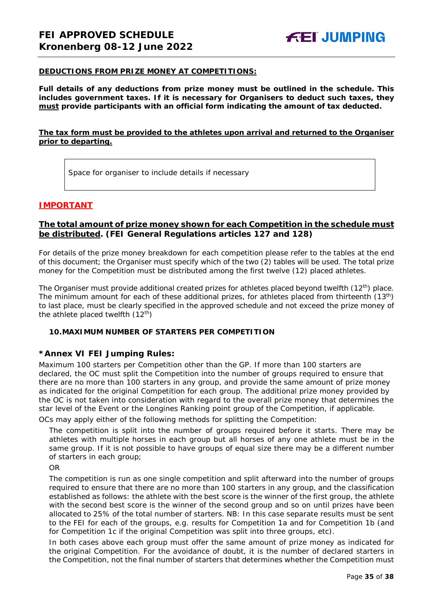#### **DEDUCTIONS FROM PRIZE MONEY AT COMPETITIONS:**

**Full details of any deductions from prize money must be outlined in the schedule. This includes government taxes. If it is necessary for Organisers to deduct such taxes, they must provide participants with an official form indicating the amount of tax deducted.** 

## **The tax form must be provided to the athletes upon arrival and returned to the Organiser prior to departing.**

Space for organiser to include details if necessary

## **IMPORTANT**

## **The total amount of prize money shown for each Competition in the schedule must be distributed. (FEI General Regulations articles 127 and 128)**

For details of the prize money breakdown for each competition please refer to the tables at the end of this document; the Organiser must specify which of the two (2) tables will be used. The total prize money for the Competition must be distributed among the first twelve (12) placed athletes.

The Organiser must provide additional created prizes for athletes placed beyond twelfth (12<sup>th</sup>) place. The minimum amount for each of these additional prizes, for athletes placed from thirteenth (13<sup>th</sup>) to last place, must be clearly specified in the approved schedule and not exceed the prize money of the athlete placed twelfth  $(12<sup>th</sup>)$ 

#### <span id="page-34-0"></span>**10.MAXIMUM NUMBER OF STARTERS PER COMPETITION**

## **\*Annex VI FEI Jumping Rules:**

Maximum 100 starters per Competition other than the GP. If more than 100 starters are declared, the OC must split the Competition into the number of groups required to ensure that there are no more than 100 starters in any group, and provide the same amount of prize money as indicated for the original Competition for each group. The additional prize money provided by the OC is not taken into consideration with regard to the overall prize money that determines the star level of the Event or the Longines Ranking point group of the Competition, if applicable.

OCs may apply either of the following methods for splitting the Competition:

The competition is split into the number of groups required before it starts. There may be athletes with multiple horses in each group but all horses of any one athlete must be in the same group. If it is not possible to have groups of equal size there may be a different number of starters in each group;

OR

The competition is run as one single competition and split afterward into the number of groups required to ensure that there are no more than 100 starters in any group, and the classification established as follows: the athlete with the best score is the winner of the first group, the athlete with the second best score is the winner of the second group and so on until prizes have been allocated to 25% of the total number of starters. *NB: In this case separate results must be sent to the FEI for each of the groups, e.g. results for Competition 1a and for Competition 1b (and for Competition 1c if the original Competition was split into three groups, etc).*

In both cases above each group must offer the same amount of prize money as indicated for the original Competition. For the avoidance of doubt, it is the number of declared starters in the Competition, not the final number of starters that determines whether the Competition must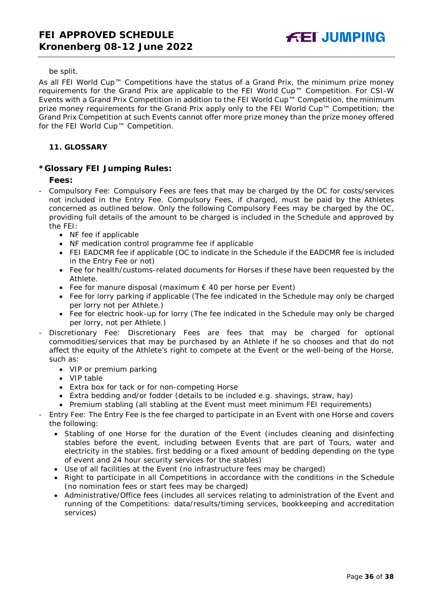#### be split.

As all FEI World Cup™ Competitions have the status of a Grand Prix, the minimum prize money requirements for the Grand Prix are applicable to the FEI World Cup™ Competition. For CSI-W Events with a Grand Prix Competition in addition to the FEI World Cup™ Competition, the minimum prize money requirements for the Grand Prix apply only to the FEI World Cup™ Competition; the Grand Prix Competition at such Events cannot offer more prize money than the prize money offered for the FEI World Cup™ Competition.

## <span id="page-35-0"></span>**11. GLOSSARY**

## **\*Glossary FEI Jumping Rules:**

## **Fees:**

- Compulsory Fee: Compulsory Fees are fees that may be charged by the OC for costs/services not included in the Entry Fee. Compulsory Fees, if charged, must be paid by the Athletes concerned as outlined below. Only the following Compulsory Fees may be charged by the OC, providing full details of the amount to be charged is included in the Schedule and approved by the FEI:
	- NF fee if applicable
	- NF medication control programme fee if applicable
	- FEI EADCMR fee if applicable (OC to indicate in the Schedule if the EADCMR fee is included in the Entry Fee or not)
	- Fee for health/customs-related documents for Horses if these have been requested by the Athlete.
	- Fee for manure disposal (maximum € 40 per horse per Event)
	- Fee for lorry parking if applicable (The fee indicated in the Schedule may only be charged per lorry not per Athlete.)
	- Fee for electric hook-up for lorry (The fee indicated in the Schedule may only be charged per lorry, not per Athlete.)
- Discretionary Fee: Discretionary Fees are fees that may be charged for optional commodities/services that may be purchased by an Athlete if he so chooses and that do not affect the equity of the Athlete's right to compete at the Event or the well-being of the Horse, such as:
	- VIP or premium parking
	- VIP table
	- Extra box for tack or for non-competing Horse
	- Extra bedding and/or fodder (details to be included e.g. shavings, straw, hay)
	- Premium stabling (all stabling at the Event must meet minimum FEI requirements)
- Entry Fee: The Entry Fee is the fee charged to participate in an Event with one Horse and covers the following:
	- Stabling of one Horse for the duration of the Event (includes cleaning and disinfecting stables before the event, including between Events that are part of Tours, water and electricity in the stables, first bedding or a fixed amount of bedding depending on the type of event and 24 hour security services for the stables)
	- Use of all facilities at the Event (no infrastructure fees may be charged)
	- Right to participate in all Competitions in accordance with the conditions in the Schedule (no nomination fees or start fees may be charged)
	- Administrative/Office fees (includes all services relating to administration of the Event and running of the Competitions: data/results/timing services, bookkeeping and accreditation services)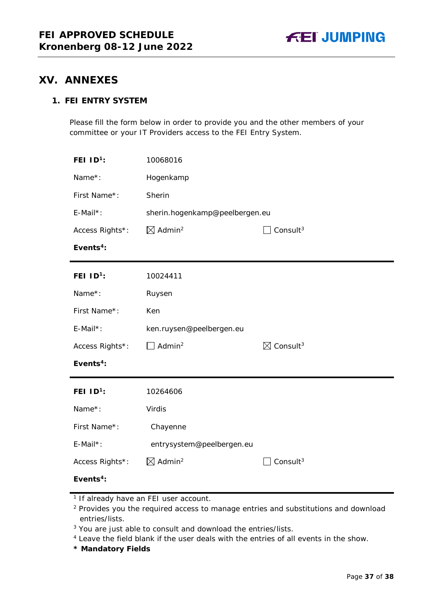

## <span id="page-36-0"></span>**XV. ANNEXES**

## **1. FEI ENTRY SYSTEM**

Please fill the form below in order to provide you and the other members of your committee or your IT Providers access to the FEI Entry System.

| FEI $1D^1$ :          | 10068016                       |                                  |
|-----------------------|--------------------------------|----------------------------------|
| Name*:                | Hogenkamp                      |                                  |
| First Name*:          | Sherin                         |                                  |
| E-Mail*:              | sherin.hogenkamp@peelbergen.eu |                                  |
| Access Rights*:       | $\boxtimes$ Admin <sup>2</sup> | Consult $3$                      |
| Events <sup>4</sup> : |                                |                                  |
| FEI $ID^1$ :          | 10024411                       |                                  |
| Name*:                | Ruysen                         |                                  |
| First Name*:          | Ken                            |                                  |
| E-Mail*:              | ken.ruysen@peelbergen.eu       |                                  |
| Access Rights*:       | Admin <sup>2</sup>             | $\boxtimes$ Consult <sup>3</sup> |
| Events <sup>4</sup> : |                                |                                  |
| FEI $ID1$ :           | 10264606                       |                                  |
| Name*:                | Virdis                         |                                  |
| First Name*:          | Chayenne                       |                                  |
| $E$ -Mail*:           | entrysystem@peelbergen.eu      |                                  |
| Access Rights*:       | $\boxtimes$ Admin <sup>2</sup> | Consult $3$                      |
| Events <sup>4</sup> : |                                |                                  |

**\* Mandatory Fields**

<sup>&</sup>lt;sup>1</sup> If already have an FEI user account.

<sup>&</sup>lt;sup>2</sup> Provides you the required access to manage entries and substitutions and download entries/lists.

<sup>&</sup>lt;sup>3</sup> You are just able to consult and download the entries/lists.

<sup>4</sup> Leave the field blank if the user deals with the entries of all events in the show.